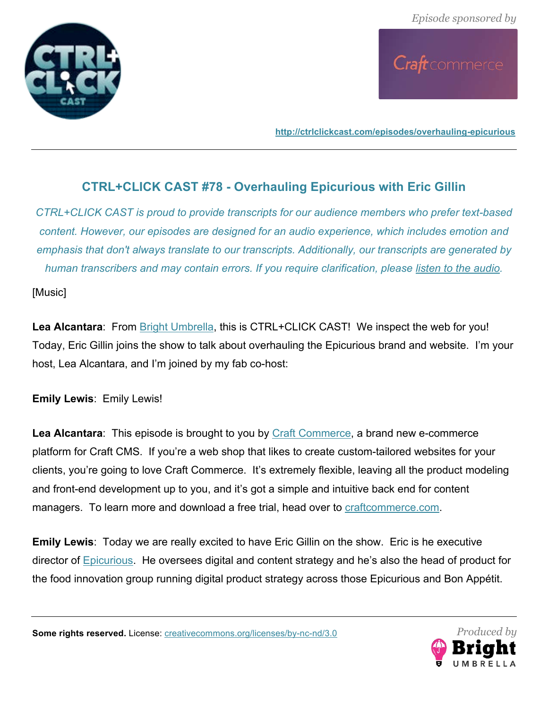

Craft commerce

**http://ctrlclickcast.com/episodes/overhauling-epicurious**

# **CTRL+CLICK CAST #78 - Overhauling Epicurious with Eric Gillin**

*CTRL+CLICK CAST is proud to provide transcripts for our audience members who prefer text-based content. However, our episodes are designed for an audio experience, which includes emotion and emphasis that don't always translate to our transcripts. Additionally, our transcripts are generated by human transcribers and may contain errors. If you require clarification, please listen to the audio.*

[Music]

**Lea Alcantara**: From Bright Umbrella, this is CTRL+CLICK CAST! We inspect the web for you! Today, Eric Gillin joins the show to talk about overhauling the Epicurious brand and website. I'm your host, Lea Alcantara, and I'm joined by my fab co-host:

**Emily Lewis**: Emily Lewis!

**Lea Alcantara**: This episode is brought to you by Craft Commerce, a brand new e-commerce platform for Craft CMS. If you're a web shop that likes to create custom-tailored websites for your clients, you're going to love Craft Commerce. It's extremely flexible, leaving all the product modeling and front-end development up to you, and it's got a simple and intuitive back end for content managers. To learn more and download a free trial, head over to craftcommerce.com.

**Emily Lewis**: Today we are really excited to have Eric Gillin on the show. Eric is he executive director of Epicurious. He oversees digital and content strategy and he's also the head of product for the food innovation group running digital product strategy across those Epicurious and Bon Appétit.

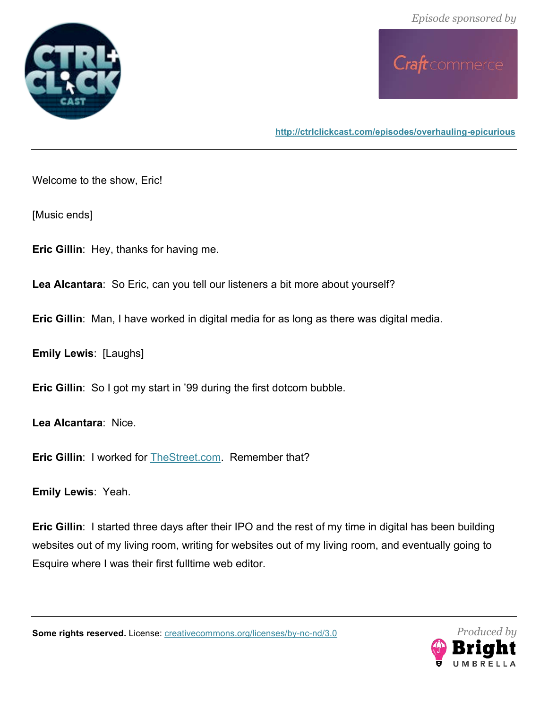



Welcome to the show, Eric!

[Music ends]

**Eric Gillin**: Hey, thanks for having me.

**Lea Alcantara**: So Eric, can you tell our listeners a bit more about yourself?

**Eric Gillin**: Man, I have worked in digital media for as long as there was digital media.

**Emily Lewis**: [Laughs]

**Eric Gillin**: So I got my start in '99 during the first dotcom bubble.

**Lea Alcantara**: Nice.

**Eric Gillin: I worked for TheStreet.com. Remember that?** 

**Emily Lewis**: Yeah.

**Eric Gillin**: I started three days after their IPO and the rest of my time in digital has been building websites out of my living room, writing for websites out of my living room, and eventually going to Esquire where I was their first fulltime web editor.

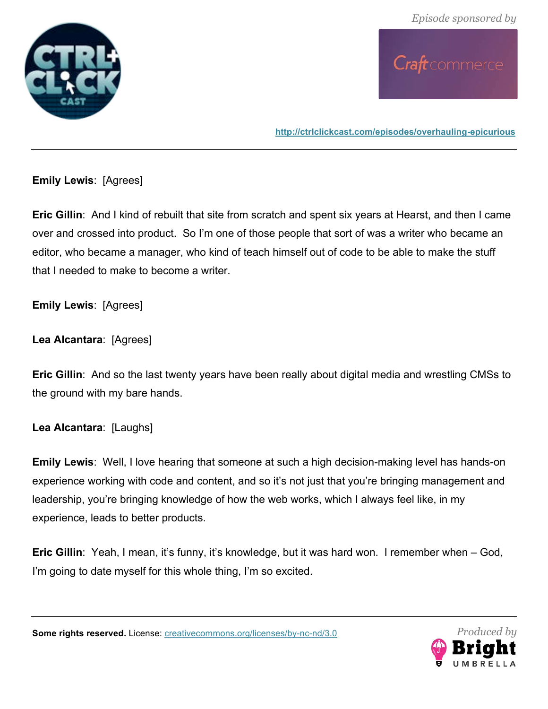



**Emily Lewis**: [Agrees]

**Eric Gillin**: And I kind of rebuilt that site from scratch and spent six years at Hearst, and then I came over and crossed into product. So I'm one of those people that sort of was a writer who became an editor, who became a manager, who kind of teach himself out of code to be able to make the stuff that I needed to make to become a writer.

**Emily Lewis**: [Agrees]

**Lea Alcantara**: [Agrees]

**Eric Gillin**: And so the last twenty years have been really about digital media and wrestling CMSs to the ground with my bare hands.

**Lea Alcantara**: [Laughs]

**Emily Lewis**: Well, I love hearing that someone at such a high decision-making level has hands-on experience working with code and content, and so it's not just that you're bringing management and leadership, you're bringing knowledge of how the web works, which I always feel like, in my experience, leads to better products.

**Eric Gillin**: Yeah, I mean, it's funny, it's knowledge, but it was hard won. I remember when – God, I'm going to date myself for this whole thing, I'm so excited.

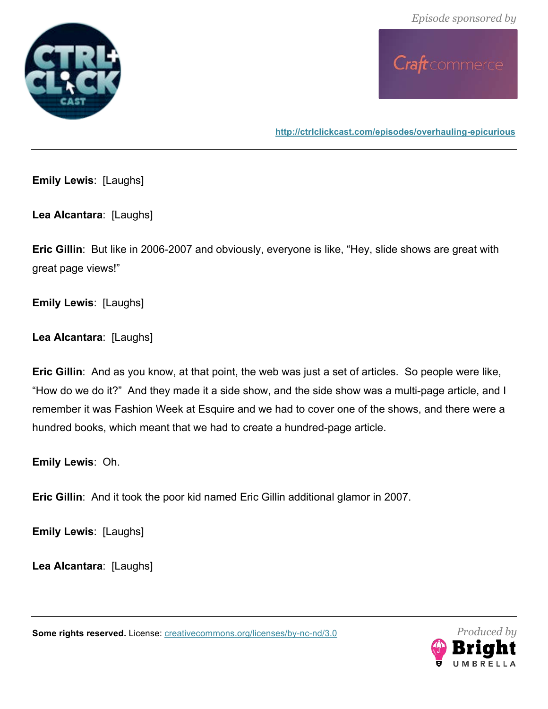



**Emily Lewis**: [Laughs]

**Lea Alcantara**: [Laughs]

**Eric Gillin**: But like in 2006-2007 and obviously, everyone is like, "Hey, slide shows are great with great page views!"

**Emily Lewis**: [Laughs]

**Lea Alcantara**: [Laughs]

**Eric Gillin**: And as you know, at that point, the web was just a set of articles. So people were like, "How do we do it?" And they made it a side show, and the side show was a multi-page article, and I remember it was Fashion Week at Esquire and we had to cover one of the shows, and there were a hundred books, which meant that we had to create a hundred-page article.

**Emily Lewis**: Oh.

**Eric Gillin**: And it took the poor kid named Eric Gillin additional glamor in 2007.

**Emily Lewis**: [Laughs]

**Lea Alcantara**: [Laughs]

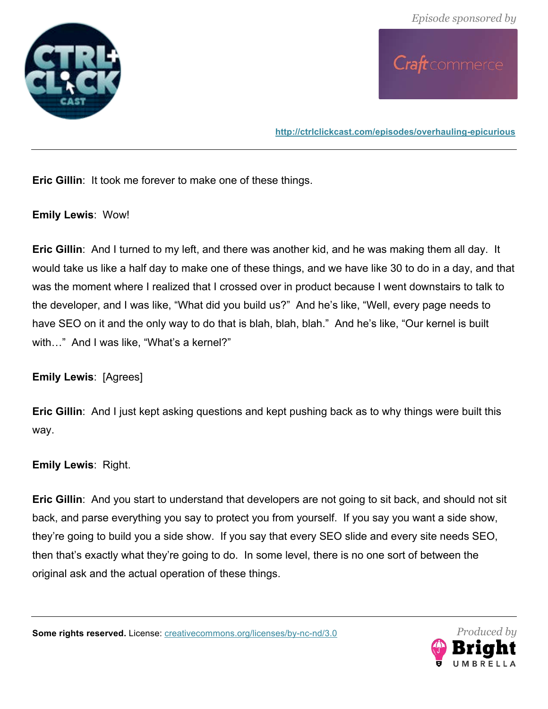



**Eric Gillin**: It took me forever to make one of these things.

**Emily Lewis**: Wow!

**Eric Gillin**: And I turned to my left, and there was another kid, and he was making them all day. It would take us like a half day to make one of these things, and we have like 30 to do in a day, and that was the moment where I realized that I crossed over in product because I went downstairs to talk to the developer, and I was like, "What did you build us?" And he's like, "Well, every page needs to have SEO on it and the only way to do that is blah, blah, blah." And he's like, "Our kernel is built with..." And I was like, "What's a kernel?"

**Emily Lewis**: [Agrees]

**Eric Gillin**: And I just kept asking questions and kept pushing back as to why things were built this way.

### **Emily Lewis**: Right.

**Eric Gillin**: And you start to understand that developers are not going to sit back, and should not sit back, and parse everything you say to protect you from yourself. If you say you want a side show, they're going to build you a side show. If you say that every SEO slide and every site needs SEO, then that's exactly what they're going to do. In some level, there is no one sort of between the original ask and the actual operation of these things.

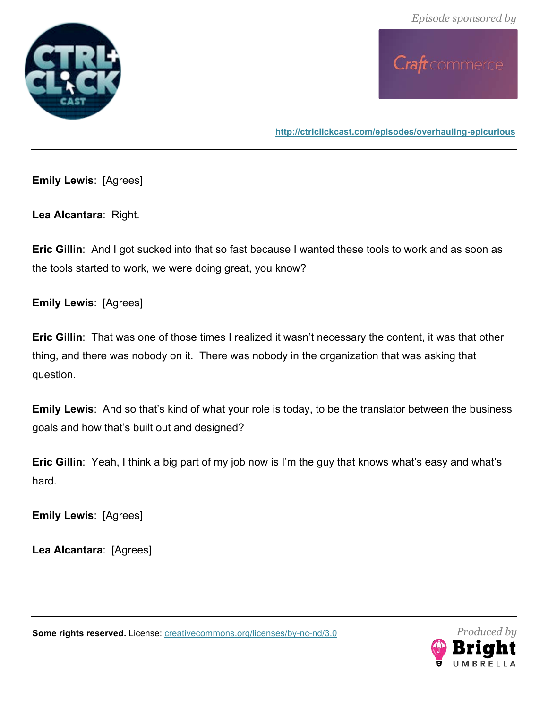



**Emily Lewis**: [Agrees]

**Lea Alcantara**: Right.

**Eric Gillin**: And I got sucked into that so fast because I wanted these tools to work and as soon as the tools started to work, we were doing great, you know?

**Emily Lewis**: [Agrees]

**Eric Gillin**: That was one of those times I realized it wasn't necessary the content, it was that other thing, and there was nobody on it. There was nobody in the organization that was asking that question.

**Emily Lewis**: And so that's kind of what your role is today, to be the translator between the business goals and how that's built out and designed?

**Eric Gillin**: Yeah, I think a big part of my job now is I'm the guy that knows what's easy and what's hard.

**Emily Lewis**: [Agrees]

**Lea Alcantara**: [Agrees]

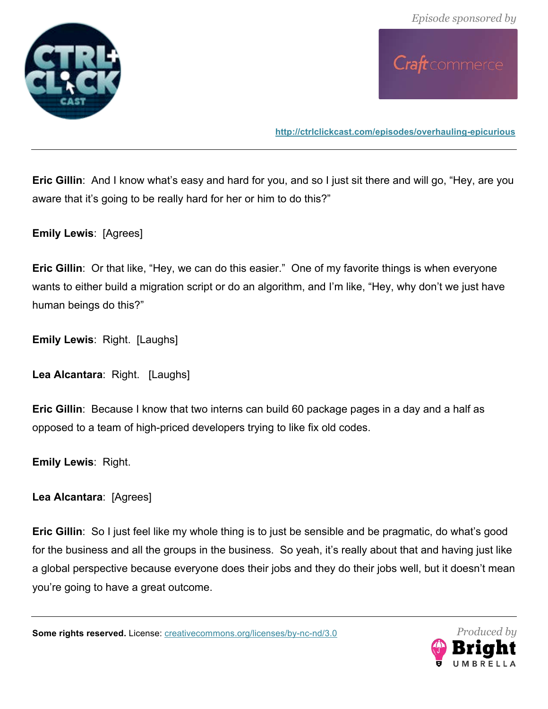



**Eric Gillin**: And I know what's easy and hard for you, and so I just sit there and will go, "Hey, are you aware that it's going to be really hard for her or him to do this?"

**Emily Lewis**: [Agrees]

**Eric Gillin**: Or that like, "Hey, we can do this easier." One of my favorite things is when everyone wants to either build a migration script or do an algorithm, and I'm like, "Hey, why don't we just have human beings do this?"

**Emily Lewis**: Right. [Laughs]

**Lea Alcantara**: Right. [Laughs]

**Eric Gillin**: Because I know that two interns can build 60 package pages in a day and a half as opposed to a team of high-priced developers trying to like fix old codes.

**Emily Lewis**: Right.

**Lea Alcantara**: [Agrees]

**Eric Gillin:** So I just feel like my whole thing is to just be sensible and be pragmatic, do what's good for the business and all the groups in the business. So yeah, it's really about that and having just like a global perspective because everyone does their jobs and they do their jobs well, but it doesn't mean you're going to have a great outcome.

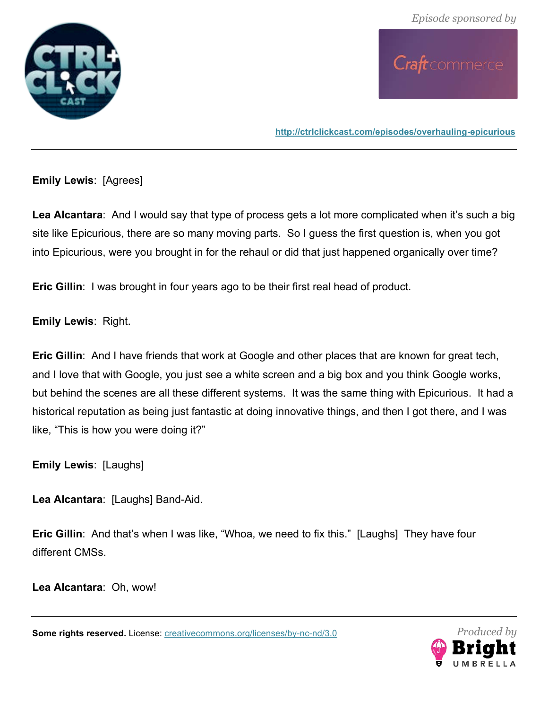



**Emily Lewis**: [Agrees]

**Lea Alcantara**: And I would say that type of process gets a lot more complicated when it's such a big site like Epicurious, there are so many moving parts. So I guess the first question is, when you got into Epicurious, were you brought in for the rehaul or did that just happened organically over time?

**Eric Gillin**: I was brought in four years ago to be their first real head of product.

**Emily Lewis**: Right.

**Eric Gillin**: And I have friends that work at Google and other places that are known for great tech, and I love that with Google, you just see a white screen and a big box and you think Google works, but behind the scenes are all these different systems. It was the same thing with Epicurious. It had a historical reputation as being just fantastic at doing innovative things, and then I got there, and I was like, "This is how you were doing it?"

**Emily Lewis**: [Laughs]

**Lea Alcantara**: [Laughs] Band-Aid.

**Eric Gillin**: And that's when I was like, "Whoa, we need to fix this." [Laughs] They have four different CMSs.

**Lea Alcantara**: Oh, wow!

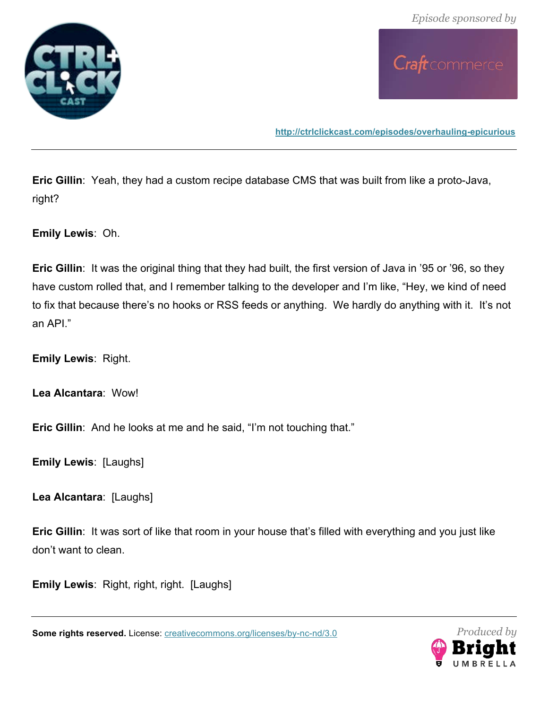



**http://ctrlclickcast.com/episodes/overhauling-epicurious**

**Eric Gillin**: Yeah, they had a custom recipe database CMS that was built from like a proto-Java, right?

**Emily Lewis**: Oh.

**Eric Gillin**: It was the original thing that they had built, the first version of Java in '95 or '96, so they have custom rolled that, and I remember talking to the developer and I'm like, "Hey, we kind of need to fix that because there's no hooks or RSS feeds or anything. We hardly do anything with it. It's not an API."

**Emily Lewis**: Right.

**Lea Alcantara**: Wow!

**Eric Gillin:** And he looks at me and he said, "I'm not touching that."

**Emily Lewis**: [Laughs]

**Lea Alcantara**: [Laughs]

**Eric Gillin:** It was sort of like that room in your house that's filled with everything and you just like don't want to clean.

**Emily Lewis**: Right, right, right. [Laughs]

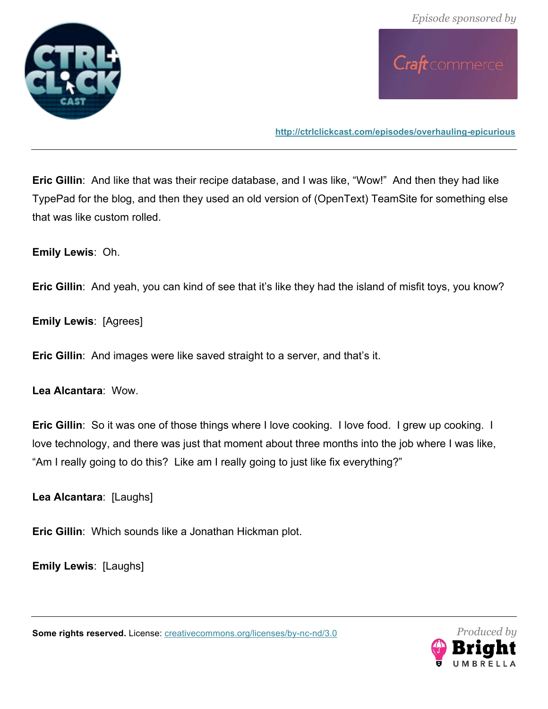



**Eric Gillin**: And like that was their recipe database, and I was like, "Wow!" And then they had like TypePad for the blog, and then they used an old version of (OpenText) TeamSite for something else that was like custom rolled.

**Emily Lewis**: Oh.

**Eric Gillin**: And yeah, you can kind of see that it's like they had the island of misfit toys, you know?

**Emily Lewis**: [Agrees]

**Eric Gillin**: And images were like saved straight to a server, and that's it.

**Lea Alcantara**: Wow.

**Eric Gillin**: So it was one of those things where I love cooking. I love food. I grew up cooking. I love technology, and there was just that moment about three months into the job where I was like, "Am I really going to do this? Like am I really going to just like fix everything?"

**Lea Alcantara**: [Laughs]

**Eric Gillin**: Which sounds like a Jonathan Hickman plot.

**Emily Lewis**: [Laughs]

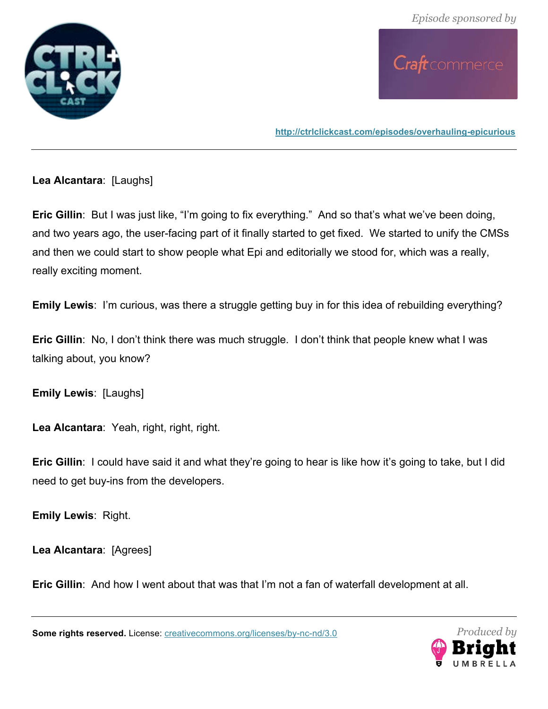



**Lea Alcantara**: [Laughs]

**Eric Gillin**: But I was just like, "I'm going to fix everything." And so that's what we've been doing, and two years ago, the user-facing part of it finally started to get fixed. We started to unify the CMSs and then we could start to show people what Epi and editorially we stood for, which was a really, really exciting moment.

**Emily Lewis**: I'm curious, was there a struggle getting buy in for this idea of rebuilding everything?

**Eric Gillin**: No, I don't think there was much struggle. I don't think that people knew what I was talking about, you know?

**Emily Lewis**: [Laughs]

**Lea Alcantara**: Yeah, right, right, right.

**Eric Gillin**: I could have said it and what they're going to hear is like how it's going to take, but I did need to get buy-ins from the developers.

**Emily Lewis**: Right.

**Lea Alcantara**: [Agrees]

**Eric Gillin**: And how I went about that was that I'm not a fan of waterfall development at all.

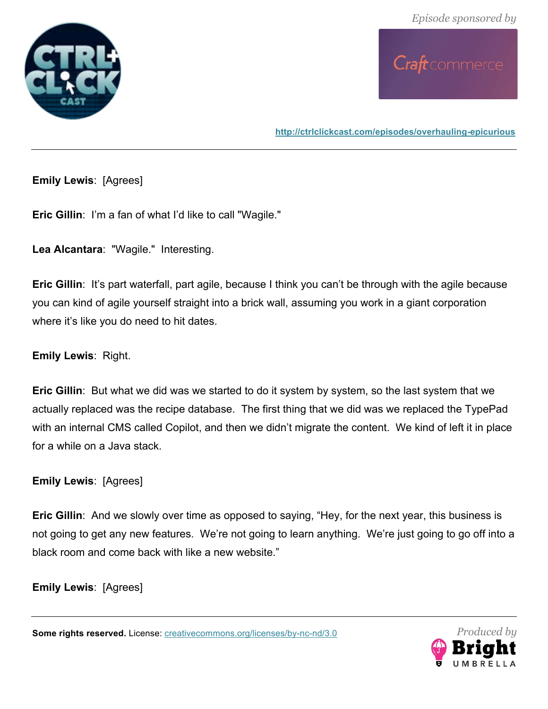



**Emily Lewis**: [Agrees]

**Eric Gillin**: I'm a fan of what I'd like to call "Wagile."

**Lea Alcantara**: "Wagile." Interesting.

**Eric Gillin:** It's part waterfall, part agile, because I think you can't be through with the agile because you can kind of agile yourself straight into a brick wall, assuming you work in a giant corporation where it's like you do need to hit dates.

**Emily Lewis**: Right.

**Eric Gillin**: But what we did was we started to do it system by system, so the last system that we actually replaced was the recipe database. The first thing that we did was we replaced the TypePad with an internal CMS called Copilot, and then we didn't migrate the content. We kind of left it in place for a while on a Java stack.

**Emily Lewis**: [Agrees]

**Eric Gillin**: And we slowly over time as opposed to saying, "Hey, for the next year, this business is not going to get any new features. We're not going to learn anything. We're just going to go off into a black room and come back with like a new website."

**Emily Lewis**: [Agrees]

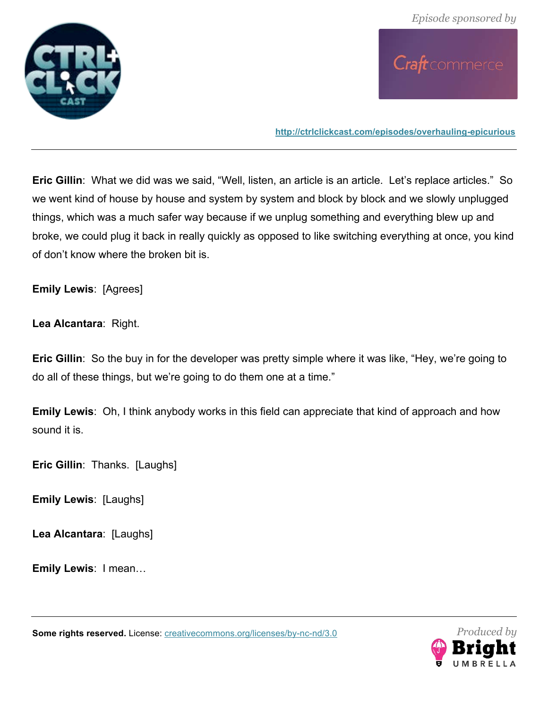



**Eric Gillin**: What we did was we said, "Well, listen, an article is an article. Let's replace articles." So we went kind of house by house and system by system and block by block and we slowly unplugged things, which was a much safer way because if we unplug something and everything blew up and broke, we could plug it back in really quickly as opposed to like switching everything at once, you kind of don't know where the broken bit is.

**Emily Lewis**: [Agrees]

**Lea Alcantara**: Right.

**Eric Gillin**: So the buy in for the developer was pretty simple where it was like, "Hey, we're going to do all of these things, but we're going to do them one at a time."

**Emily Lewis**: Oh, I think anybody works in this field can appreciate that kind of approach and how sound it is.

**Eric Gillin**: Thanks. [Laughs]

**Emily Lewis**: [Laughs]

**Lea Alcantara**: [Laughs]

**Emily Lewis**: I mean…

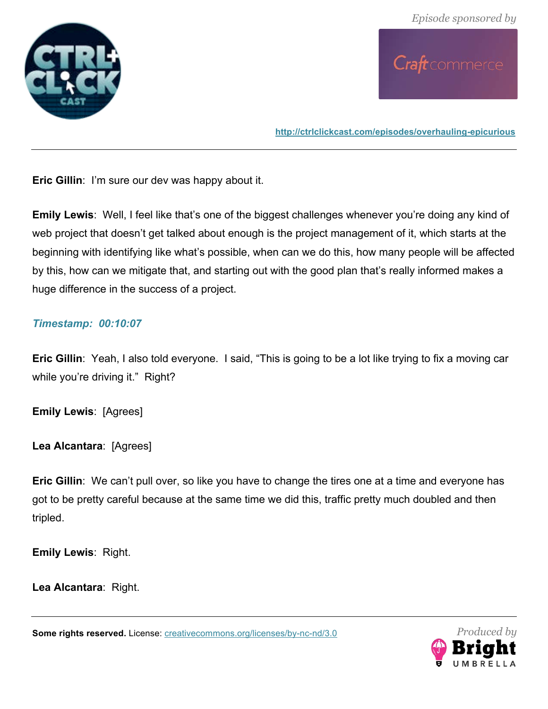



**Eric Gillin**: I'm sure our dev was happy about it.

**Emily Lewis**: Well, I feel like that's one of the biggest challenges whenever you're doing any kind of web project that doesn't get talked about enough is the project management of it, which starts at the beginning with identifying like what's possible, when can we do this, how many people will be affected by this, how can we mitigate that, and starting out with the good plan that's really informed makes a huge difference in the success of a project.

### *Timestamp: 00:10:07*

**Eric Gillin**: Yeah, I also told everyone. I said, "This is going to be a lot like trying to fix a moving car while you're driving it." Right?

**Emily Lewis**: [Agrees]

**Lea Alcantara**: [Agrees]

**Eric Gillin**: We can't pull over, so like you have to change the tires one at a time and everyone has got to be pretty careful because at the same time we did this, traffic pretty much doubled and then tripled.

**Emily Lewis**: Right.

**Lea Alcantara**: Right.

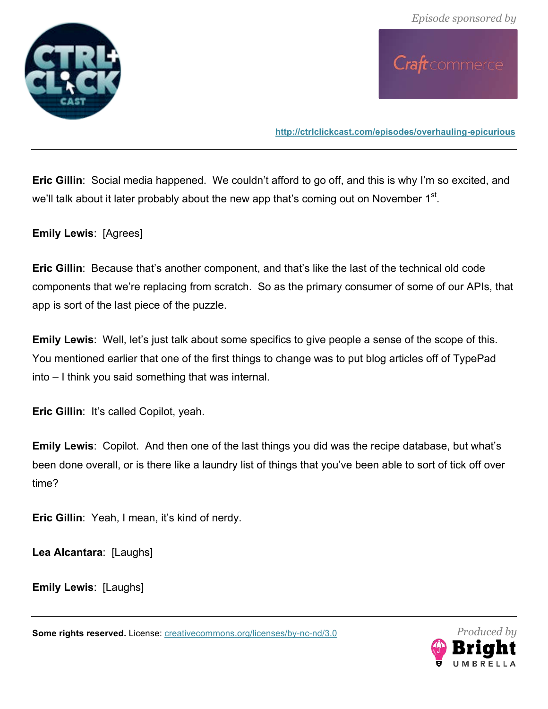



**Eric Gillin**: Social media happened. We couldn't afford to go off, and this is why I'm so excited, and we'll talk about it later probably about the new app that's coming out on November 1<sup>st</sup>.

**Emily Lewis**: [Agrees]

**Eric Gillin**: Because that's another component, and that's like the last of the technical old code components that we're replacing from scratch. So as the primary consumer of some of our APIs, that app is sort of the last piece of the puzzle.

**Emily Lewis**: Well, let's just talk about some specifics to give people a sense of the scope of this. You mentioned earlier that one of the first things to change was to put blog articles off of TypePad into – I think you said something that was internal.

**Eric Gillin**: It's called Copilot, yeah.

**Emily Lewis**: Copilot. And then one of the last things you did was the recipe database, but what's been done overall, or is there like a laundry list of things that you've been able to sort of tick off over time?

**Eric Gillin**: Yeah, I mean, it's kind of nerdy.

**Lea Alcantara**: [Laughs]

**Emily Lewis**: [Laughs]

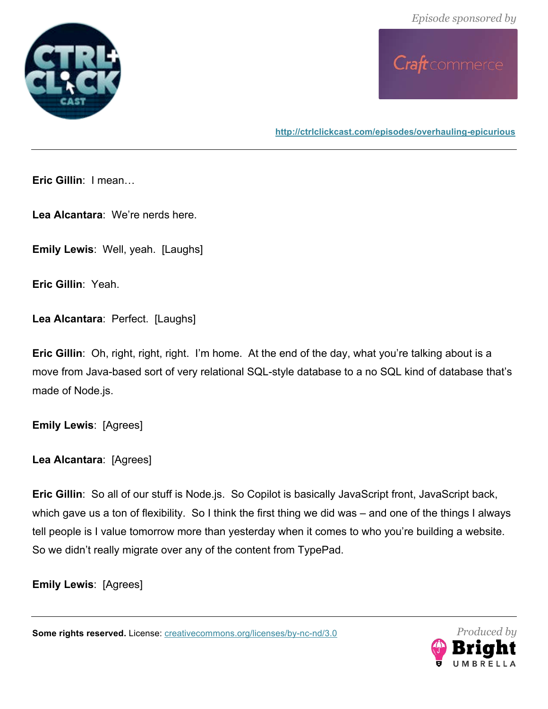



**http://ctrlclickcast.com/episodes/overhauling-epicurious**

**Eric Gillin**: I mean…

**Lea Alcantara**: We're nerds here.

**Emily Lewis: Well, yeah. [Laughs]** 

**Eric Gillin**: Yeah.

**Lea Alcantara**: Perfect. [Laughs]

**Eric Gillin**: Oh, right, right, right. I'm home. At the end of the day, what you're talking about is a move from Java-based sort of very relational SQL-style database to a no SQL kind of database that's made of Node.js.

**Emily Lewis**: [Agrees]

**Lea Alcantara**: [Agrees]

**Eric Gillin**: So all of our stuff is Node.js. So Copilot is basically JavaScript front, JavaScript back, which gave us a ton of flexibility. So I think the first thing we did was – and one of the things I always tell people is I value tomorrow more than yesterday when it comes to who you're building a website. So we didn't really migrate over any of the content from TypePad.

**Emily Lewis**: [Agrees]

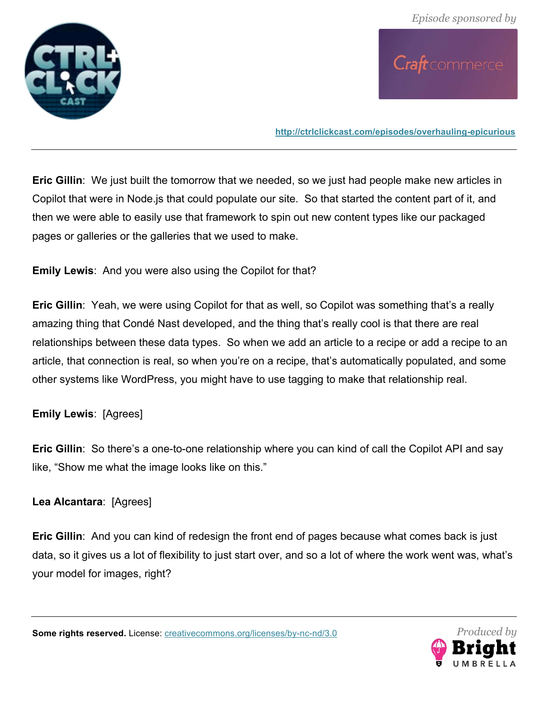



**Eric Gillin**: We just built the tomorrow that we needed, so we just had people make new articles in Copilot that were in Node.js that could populate our site. So that started the content part of it, and then we were able to easily use that framework to spin out new content types like our packaged pages or galleries or the galleries that we used to make.

**Emily Lewis**: And you were also using the Copilot for that?

**Eric Gillin**: Yeah, we were using Copilot for that as well, so Copilot was something that's a really amazing thing that Condé Nast developed, and the thing that's really cool is that there are real relationships between these data types. So when we add an article to a recipe or add a recipe to an article, that connection is real, so when you're on a recipe, that's automatically populated, and some other systems like WordPress, you might have to use tagging to make that relationship real.

**Emily Lewis**: [Agrees]

**Eric Gillin**: So there's a one-to-one relationship where you can kind of call the Copilot API and say like, "Show me what the image looks like on this."

# **Lea Alcantara**: [Agrees]

**Eric Gillin**: And you can kind of redesign the front end of pages because what comes back is just data, so it gives us a lot of flexibility to just start over, and so a lot of where the work went was, what's your model for images, right?

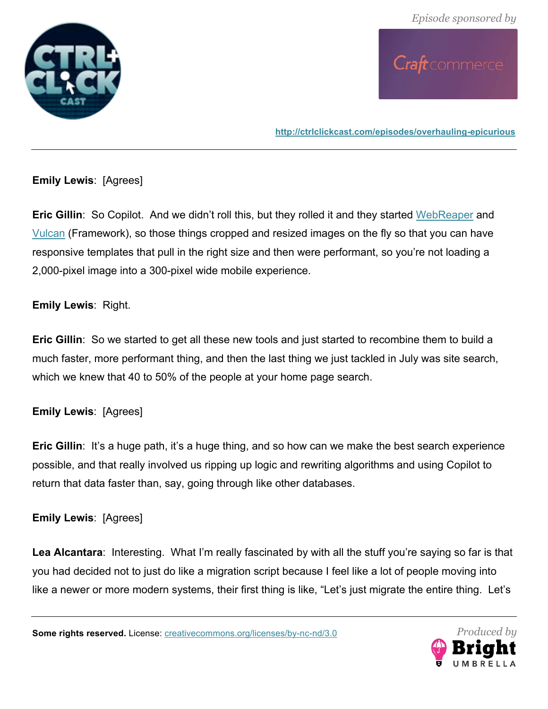



### **Emily Lewis**: [Agrees]

**Eric Gillin**: So Copilot. And we didn't roll this, but they rolled it and they started WebReaper and Vulcan (Framework), so those things cropped and resized images on the fly so that you can have responsive templates that pull in the right size and then were performant, so you're not loading a 2,000-pixel image into a 300-pixel wide mobile experience.

### **Emily Lewis**: Right.

**Eric Gillin**: So we started to get all these new tools and just started to recombine them to build a much faster, more performant thing, and then the last thing we just tackled in July was site search, which we knew that 40 to 50% of the people at your home page search.

### **Emily Lewis**: [Agrees]

**Eric Gillin**: It's a huge path, it's a huge thing, and so how can we make the best search experience possible, and that really involved us ripping up logic and rewriting algorithms and using Copilot to return that data faster than, say, going through like other databases.

### **Emily Lewis**: [Agrees]

Lea Alcantara: Interesting. What I'm really fascinated by with all the stuff you're saying so far is that you had decided not to just do like a migration script because I feel like a lot of people moving into like a newer or more modern systems, their first thing is like, "Let's just migrate the entire thing. Let's

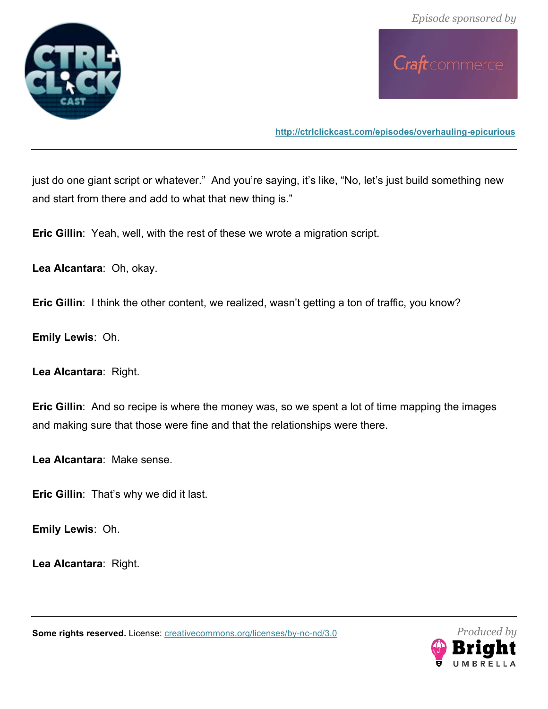



**http://ctrlclickcast.com/episodes/overhauling-epicurious**

just do one giant script or whatever." And you're saying, it's like, "No, let's just build something new and start from there and add to what that new thing is."

**Eric Gillin**: Yeah, well, with the rest of these we wrote a migration script.

**Lea Alcantara**: Oh, okay.

**Eric Gillin**: I think the other content, we realized, wasn't getting a ton of traffic, you know?

**Emily Lewis**: Oh.

**Lea Alcantara**: Right.

**Eric Gillin**: And so recipe is where the money was, so we spent a lot of time mapping the images and making sure that those were fine and that the relationships were there.

**Lea Alcantara**: Make sense.

**Eric Gillin**: That's why we did it last.

**Emily Lewis**: Oh.

**Lea Alcantara**: Right.

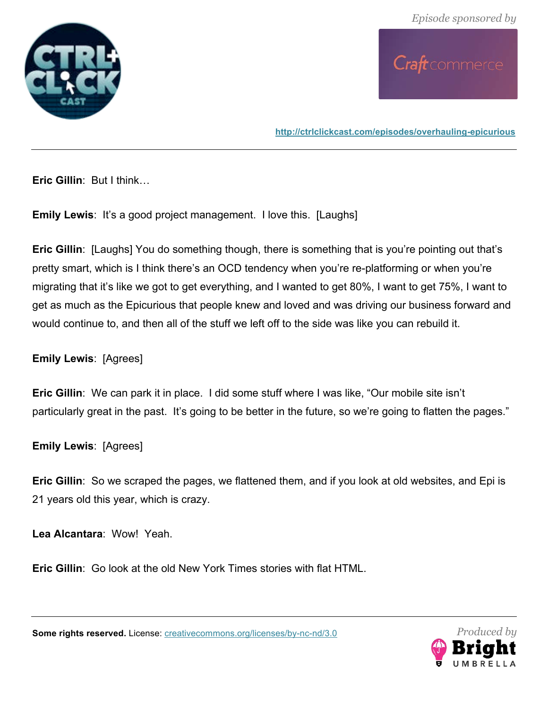



**Eric Gillin**: But I think…

**Emily Lewis:** It's a good project management. I love this. [Laughs]

**Eric Gillin**: [Laughs] You do something though, there is something that is you're pointing out that's pretty smart, which is I think there's an OCD tendency when you're re-platforming or when you're migrating that it's like we got to get everything, and I wanted to get 80%, I want to get 75%, I want to get as much as the Epicurious that people knew and loved and was driving our business forward and would continue to, and then all of the stuff we left off to the side was like you can rebuild it.

# **Emily Lewis**: [Agrees]

**Eric Gillin**: We can park it in place. I did some stuff where I was like, "Our mobile site isn't particularly great in the past. It's going to be better in the future, so we're going to flatten the pages."

**Emily Lewis**: [Agrees]

**Eric Gillin**: So we scraped the pages, we flattened them, and if you look at old websites, and Epi is 21 years old this year, which is crazy.

**Lea Alcantara**: Wow! Yeah.

**Eric Gillin**: Go look at the old New York Times stories with flat HTML.

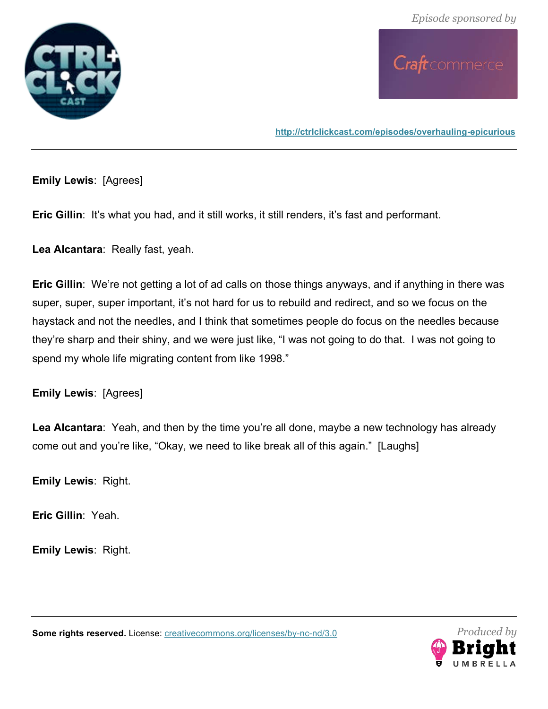



**Emily Lewis**: [Agrees]

**Eric Gillin:** It's what you had, and it still works, it still renders, it's fast and performant.

**Lea Alcantara**: Really fast, yeah.

**Eric Gillin**: We're not getting a lot of ad calls on those things anyways, and if anything in there was super, super, super important, it's not hard for us to rebuild and redirect, and so we focus on the haystack and not the needles, and I think that sometimes people do focus on the needles because they're sharp and their shiny, and we were just like, "I was not going to do that. I was not going to spend my whole life migrating content from like 1998."

**Emily Lewis**: [Agrees]

**Lea Alcantara**: Yeah, and then by the time you're all done, maybe a new technology has already come out and you're like, "Okay, we need to like break all of this again." [Laughs]

**Emily Lewis**: Right.

**Eric Gillin**: Yeah.

**Emily Lewis**: Right.

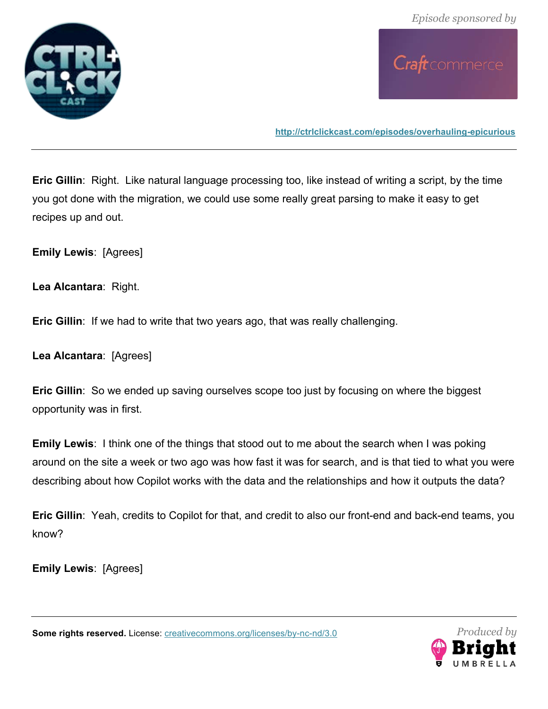



**Eric Gillin**: Right. Like natural language processing too, like instead of writing a script, by the time you got done with the migration, we could use some really great parsing to make it easy to get recipes up and out.

**Emily Lewis**: [Agrees]

**Lea Alcantara**: Right.

**Eric Gillin**: If we had to write that two years ago, that was really challenging.

**Lea Alcantara**: [Agrees]

**Eric Gillin**: So we ended up saving ourselves scope too just by focusing on where the biggest opportunity was in first.

**Emily Lewis**: I think one of the things that stood out to me about the search when I was poking around on the site a week or two ago was how fast it was for search, and is that tied to what you were describing about how Copilot works with the data and the relationships and how it outputs the data?

**Eric Gillin**: Yeah, credits to Copilot for that, and credit to also our front-end and back-end teams, you know?

**Emily Lewis**: [Agrees]

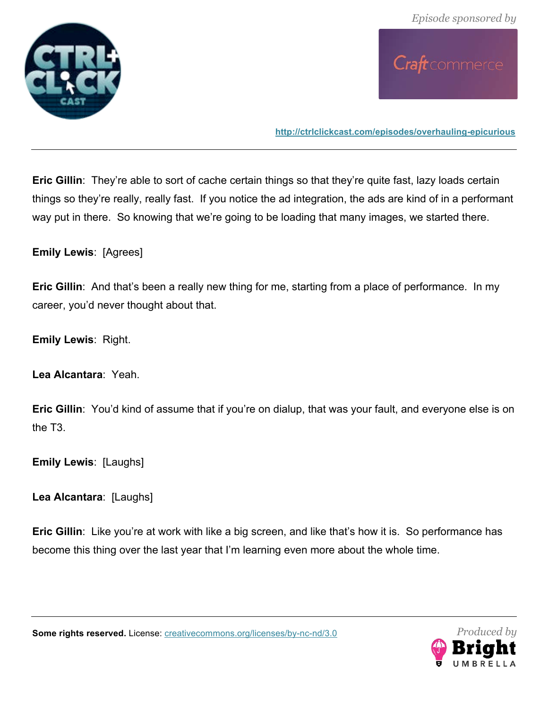



**Eric Gillin**: They're able to sort of cache certain things so that they're quite fast, lazy loads certain things so they're really, really fast. If you notice the ad integration, the ads are kind of in a performant way put in there. So knowing that we're going to be loading that many images, we started there.

**Emily Lewis**: [Agrees]

**Eric Gillin**: And that's been a really new thing for me, starting from a place of performance. In my career, you'd never thought about that.

**Emily Lewis**: Right.

**Lea Alcantara**: Yeah.

**Eric Gillin**: You'd kind of assume that if you're on dialup, that was your fault, and everyone else is on the T3.

**Emily Lewis**: [Laughs]

**Lea Alcantara**: [Laughs]

**Eric Gillin:** Like you're at work with like a big screen, and like that's how it is. So performance has become this thing over the last year that I'm learning even more about the whole time.

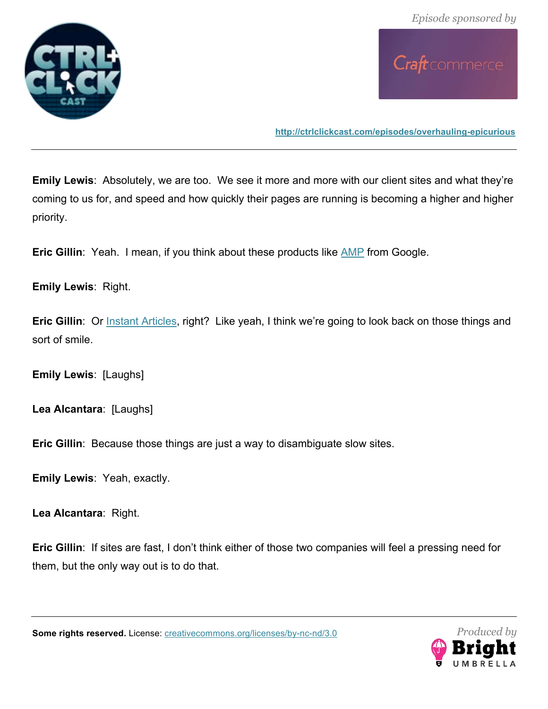



**Emily Lewis**: Absolutely, we are too. We see it more and more with our client sites and what they're coming to us for, and speed and how quickly their pages are running is becoming a higher and higher priority.

**Eric Gillin**: Yeah. I mean, if you think about these products like AMP from Google.

### **Emily Lewis**: Right.

**Eric Gillin**: Or Instant Articles, right? Like yeah, I think we're going to look back on those things and sort of smile.

**Emily Lewis**: [Laughs]

**Lea Alcantara**: [Laughs]

**Eric Gillin**: Because those things are just a way to disambiguate slow sites.

**Emily Lewis**: Yeah, exactly.

**Lea Alcantara**: Right.

**Eric Gillin**: If sites are fast, I don't think either of those two companies will feel a pressing need for them, but the only way out is to do that.

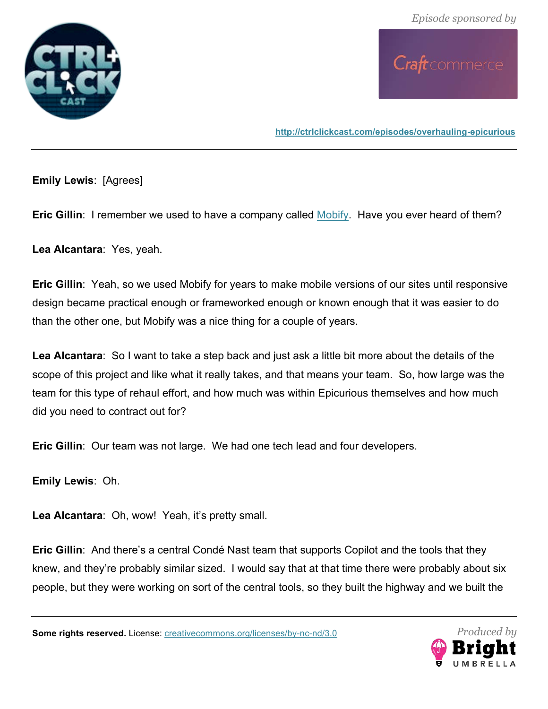



**Emily Lewis**: [Agrees]

**Eric Gillin:** I remember we used to have a company called Mobify. Have you ever heard of them?

**Lea Alcantara**: Yes, yeah.

**Eric Gillin**: Yeah, so we used Mobify for years to make mobile versions of our sites until responsive design became practical enough or frameworked enough or known enough that it was easier to do than the other one, but Mobify was a nice thing for a couple of years.

**Lea Alcantara**: So I want to take a step back and just ask a little bit more about the details of the scope of this project and like what it really takes, and that means your team. So, how large was the team for this type of rehaul effort, and how much was within Epicurious themselves and how much did you need to contract out for?

**Eric Gillin**: Our team was not large. We had one tech lead and four developers.

**Emily Lewis**: Oh.

**Lea Alcantara**: Oh, wow! Yeah, it's pretty small.

**Eric Gillin**: And there's a central Condé Nast team that supports Copilot and the tools that they knew, and they're probably similar sized. I would say that at that time there were probably about six people, but they were working on sort of the central tools, so they built the highway and we built the

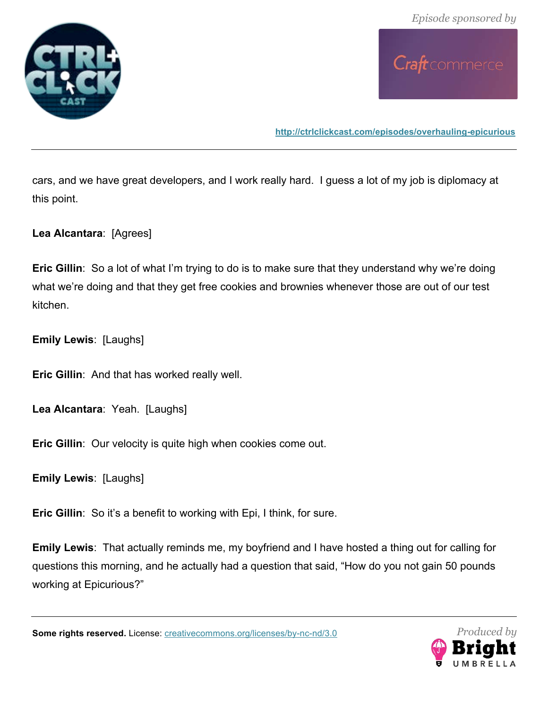

Craft commerce

**http://ctrlclickcast.com/episodes/overhauling-epicurious**

cars, and we have great developers, and I work really hard. I guess a lot of my job is diplomacy at this point.

**Lea Alcantara**: [Agrees]

**Eric Gillin**: So a lot of what I'm trying to do is to make sure that they understand why we're doing what we're doing and that they get free cookies and brownies whenever those are out of our test kitchen.

**Emily Lewis**: [Laughs]

**Eric Gillin**: And that has worked really well.

**Lea Alcantara**: Yeah. [Laughs]

**Eric Gillin**: Our velocity is quite high when cookies come out.

**Emily Lewis**: [Laughs]

**Eric Gillin:** So it's a benefit to working with Epi, I think, for sure.

**Emily Lewis**: That actually reminds me, my boyfriend and I have hosted a thing out for calling for questions this morning, and he actually had a question that said, "How do you not gain 50 pounds working at Epicurious?"

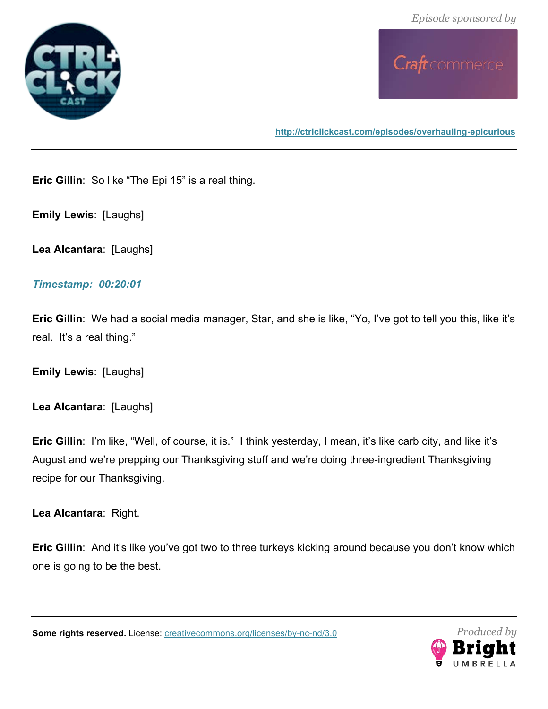



**http://ctrlclickcast.com/episodes/overhauling-epicurious**

**Eric Gillin**: So like "The Epi 15" is a real thing.

**Emily Lewis**: [Laughs]

**Lea Alcantara**: [Laughs]

#### *Timestamp: 00:20:01*

**Eric Gillin**: We had a social media manager, Star, and she is like, "Yo, I've got to tell you this, like it's real. It's a real thing."

**Emily Lewis**: [Laughs]

**Lea Alcantara**: [Laughs]

**Eric Gillin**: I'm like, "Well, of course, it is." I think yesterday, I mean, it's like carb city, and like it's August and we're prepping our Thanksgiving stuff and we're doing three-ingredient Thanksgiving recipe for our Thanksgiving.

**Lea Alcantara**: Right.

**Eric Gillin:** And it's like you've got two to three turkeys kicking around because you don't know which one is going to be the best.

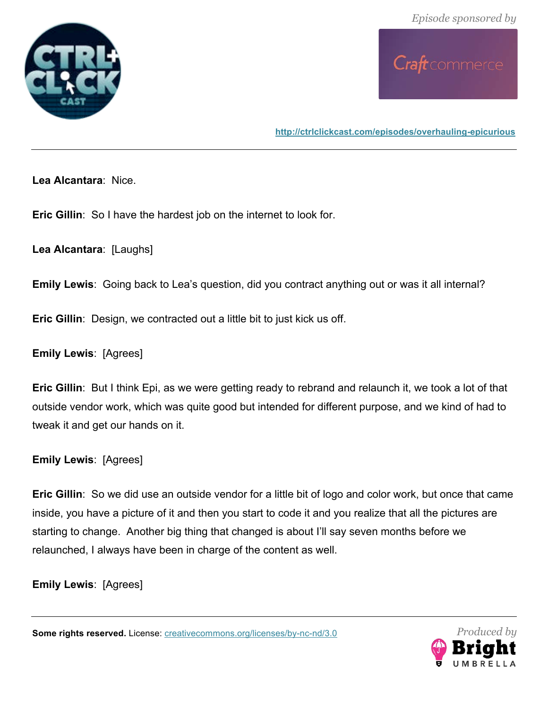



**Lea Alcantara**: Nice.

**Eric Gillin**: So I have the hardest job on the internet to look for.

**Lea Alcantara**: [Laughs]

**Emily Lewis**: Going back to Lea's question, did you contract anything out or was it all internal?

**Eric Gillin**: Design, we contracted out a little bit to just kick us off.

**Emily Lewis**: [Agrees]

**Eric Gillin**: But I think Epi, as we were getting ready to rebrand and relaunch it, we took a lot of that outside vendor work, which was quite good but intended for different purpose, and we kind of had to tweak it and get our hands on it.

**Emily Lewis**: [Agrees]

**Eric Gillin**: So we did use an outside vendor for a little bit of logo and color work, but once that came inside, you have a picture of it and then you start to code it and you realize that all the pictures are starting to change. Another big thing that changed is about I'll say seven months before we relaunched, I always have been in charge of the content as well.

**Emily Lewis**: [Agrees]

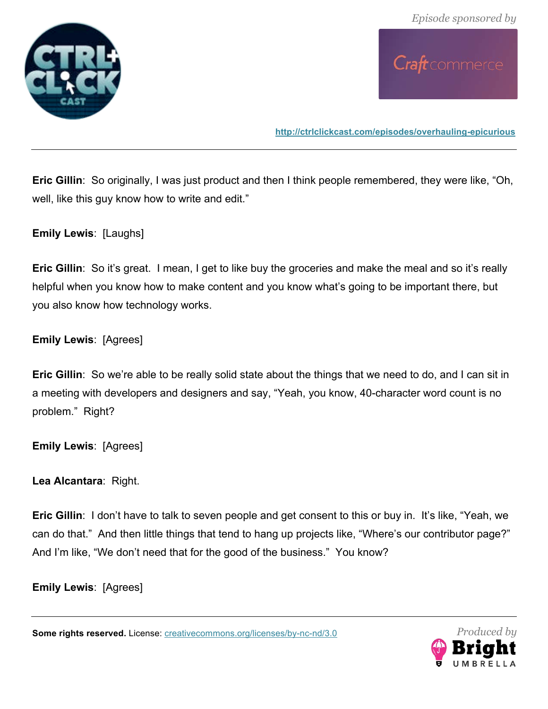

Craft commerce

**http://ctrlclickcast.com/episodes/overhauling-epicurious**

**Eric Gillin**: So originally, I was just product and then I think people remembered, they were like, "Oh, well, like this guy know how to write and edit."

**Emily Lewis**: [Laughs]

**Eric Gillin**: So it's great. I mean, I get to like buy the groceries and make the meal and so it's really helpful when you know how to make content and you know what's going to be important there, but you also know how technology works.

**Emily Lewis**: [Agrees]

**Eric Gillin**: So we're able to be really solid state about the things that we need to do, and I can sit in a meeting with developers and designers and say, "Yeah, you know, 40-character word count is no problem." Right?

**Emily Lewis**: [Agrees]

**Lea Alcantara**: Right.

**Eric Gillin**: I don't have to talk to seven people and get consent to this or buy in. It's like, "Yeah, we can do that." And then little things that tend to hang up projects like, "Where's our contributor page?" And I'm like, "We don't need that for the good of the business." You know?

**Emily Lewis**: [Agrees]

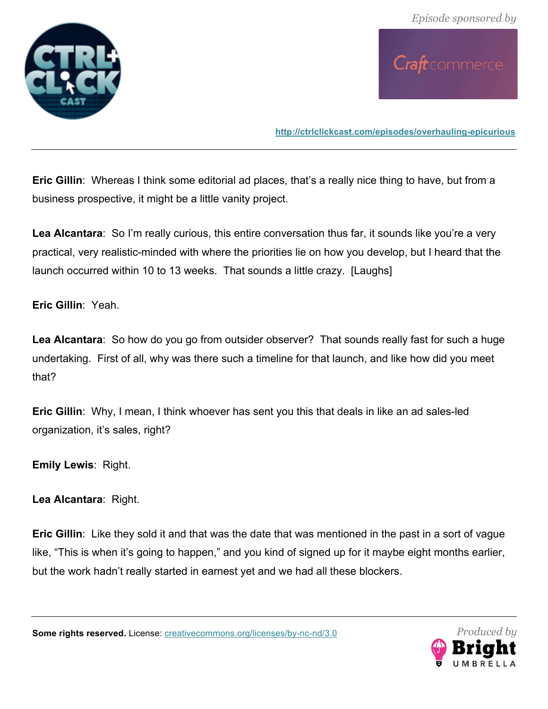



**Eric Gillin**: Whereas I think some editorial ad places, that's a really nice thing to have, but from a business prospective, it might be a little vanity project.

**Lea Alcantara**: So I'm really curious, this entire conversation thus far, it sounds like you're a very practical, very realistic-minded with where the priorities lie on how you develop, but I heard that the launch occurred within 10 to 13 weeks. That sounds a little crazy. [Laughs]

**Eric Gillin**: Yeah.

**Lea Alcantara**: So how do you go from outsider observer? That sounds really fast for such a huge undertaking. First of all, why was there such a timeline for that launch, and like how did you meet that?

**Eric Gillin**: Why, I mean, I think whoever has sent you this that deals in like an ad sales-led organization, it's sales, right?

**Emily Lewis**: Right.

**Lea Alcantara**: Right.

**Eric Gillin**: Like they sold it and that was the date that was mentioned in the past in a sort of vague like, "This is when it's going to happen," and you kind of signed up for it maybe eight months earlier, but the work hadn't really started in earnest yet and we had all these blockers.

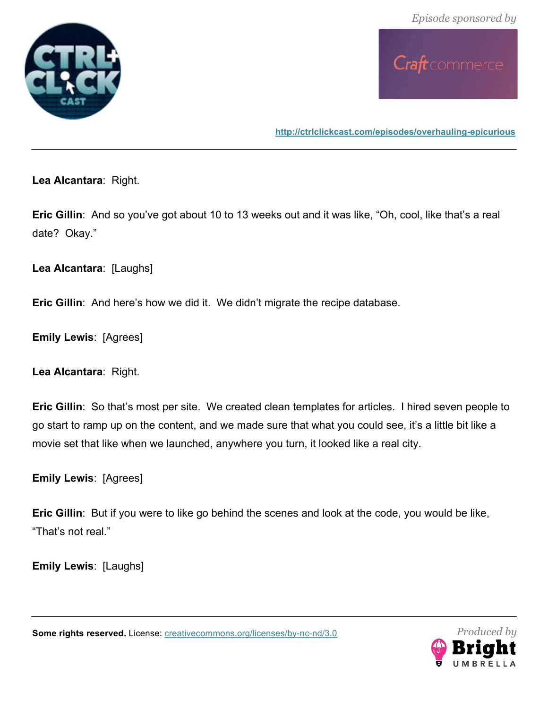



**http://ctrlclickcast.com/episodes/overhauling-epicurious**

**Lea Alcantara**: Right.

**Eric Gillin**: And so you've got about 10 to 13 weeks out and it was like, "Oh, cool, like that's a real date? Okay."

**Lea Alcantara**: [Laughs]

**Eric Gillin**: And here's how we did it. We didn't migrate the recipe database.

**Emily Lewis**: [Agrees]

**Lea Alcantara**: Right.

**Eric Gillin**: So that's most per site. We created clean templates for articles. I hired seven people to go start to ramp up on the content, and we made sure that what you could see, it's a little bit like a movie set that like when we launched, anywhere you turn, it looked like a real city.

**Emily Lewis**: [Agrees]

**Eric Gillin**: But if you were to like go behind the scenes and look at the code, you would be like, "That's not real."

**Emily Lewis**: [Laughs]

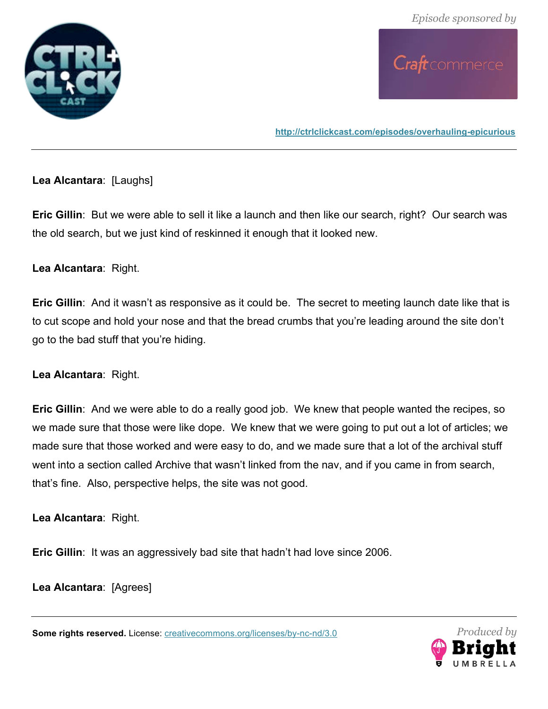



### **Lea Alcantara**: [Laughs]

**Eric Gillin**: But we were able to sell it like a launch and then like our search, right? Our search was the old search, but we just kind of reskinned it enough that it looked new.

### **Lea Alcantara**: Right.

**Eric Gillin**: And it wasn't as responsive as it could be. The secret to meeting launch date like that is to cut scope and hold your nose and that the bread crumbs that you're leading around the site don't go to the bad stuff that you're hiding.

#### **Lea Alcantara**: Right.

**Eric Gillin**: And we were able to do a really good job. We knew that people wanted the recipes, so we made sure that those were like dope. We knew that we were going to put out a lot of articles; we made sure that those worked and were easy to do, and we made sure that a lot of the archival stuff went into a section called Archive that wasn't linked from the nav, and if you came in from search, that's fine. Also, perspective helps, the site was not good.

**Lea Alcantara**: Right.

**Eric Gillin:** It was an aggressively bad site that hadn't had love since 2006.

**Lea Alcantara**: [Agrees]

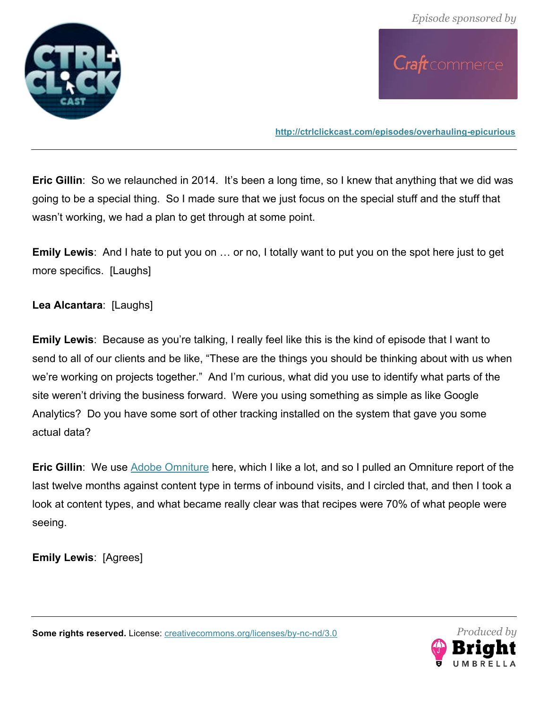



**Eric Gillin**: So we relaunched in 2014. It's been a long time, so I knew that anything that we did was going to be a special thing. So I made sure that we just focus on the special stuff and the stuff that wasn't working, we had a plan to get through at some point.

**Emily Lewis**: And I hate to put you on … or no, I totally want to put you on the spot here just to get more specifics. [Laughs]

**Lea Alcantara**: [Laughs]

**Emily Lewis**: Because as you're talking, I really feel like this is the kind of episode that I want to send to all of our clients and be like, "These are the things you should be thinking about with us when we're working on projects together." And I'm curious, what did you use to identify what parts of the site weren't driving the business forward. Were you using something as simple as like Google Analytics? Do you have some sort of other tracking installed on the system that gave you some actual data?

**Eric Gillin:** We use Adobe Omniture here, which I like a lot, and so I pulled an Omniture report of the last twelve months against content type in terms of inbound visits, and I circled that, and then I took a look at content types, and what became really clear was that recipes were 70% of what people were seeing.

**Emily Lewis**: [Agrees]

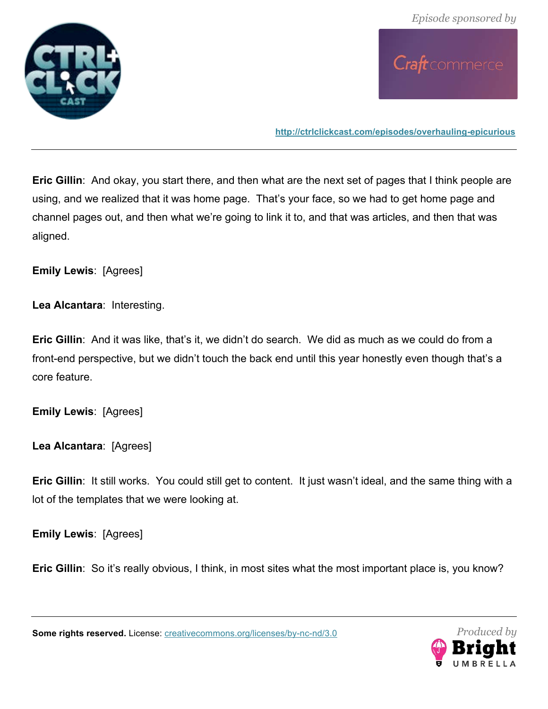



**Eric Gillin**: And okay, you start there, and then what are the next set of pages that I think people are using, and we realized that it was home page. That's your face, so we had to get home page and channel pages out, and then what we're going to link it to, and that was articles, and then that was aligned.

**Emily Lewis**: [Agrees]

**Lea Alcantara**: Interesting.

**Eric Gillin:** And it was like, that's it, we didn't do search. We did as much as we could do from a front-end perspective, but we didn't touch the back end until this year honestly even though that's a core feature.

**Emily Lewis**: [Agrees]

**Lea Alcantara**: [Agrees]

**Eric Gillin**: It still works. You could still get to content. It just wasn't ideal, and the same thing with a lot of the templates that we were looking at.

**Emily Lewis**: [Agrees]

**Eric Gillin**: So it's really obvious, I think, in most sites what the most important place is, you know?

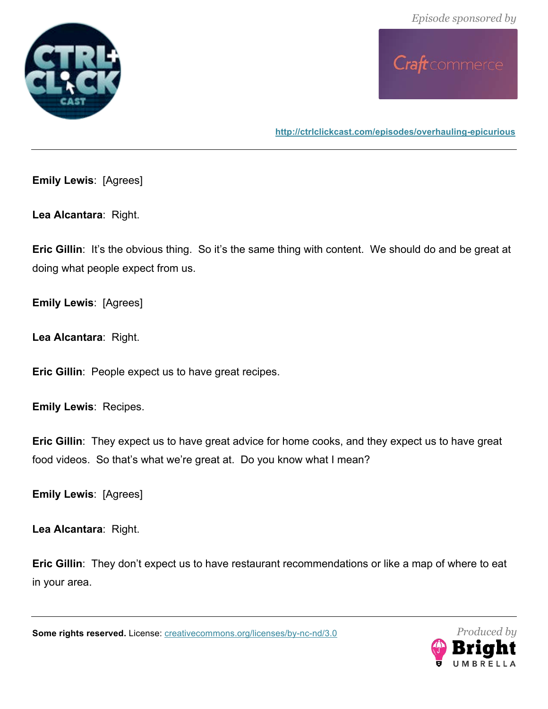



**http://ctrlclickcast.com/episodes/overhauling-epicurious**

**Emily Lewis**: [Agrees]

**Lea Alcantara**: Right.

**Eric Gillin:** It's the obvious thing. So it's the same thing with content. We should do and be great at doing what people expect from us.

**Emily Lewis**: [Agrees]

**Lea Alcantara**: Right.

**Eric Gillin**: People expect us to have great recipes.

**Emily Lewis**: Recipes.

**Eric Gillin**: They expect us to have great advice for home cooks, and they expect us to have great food videos. So that's what we're great at. Do you know what I mean?

**Emily Lewis**: [Agrees]

**Lea Alcantara**: Right.

**Eric Gillin**: They don't expect us to have restaurant recommendations or like a map of where to eat in your area.

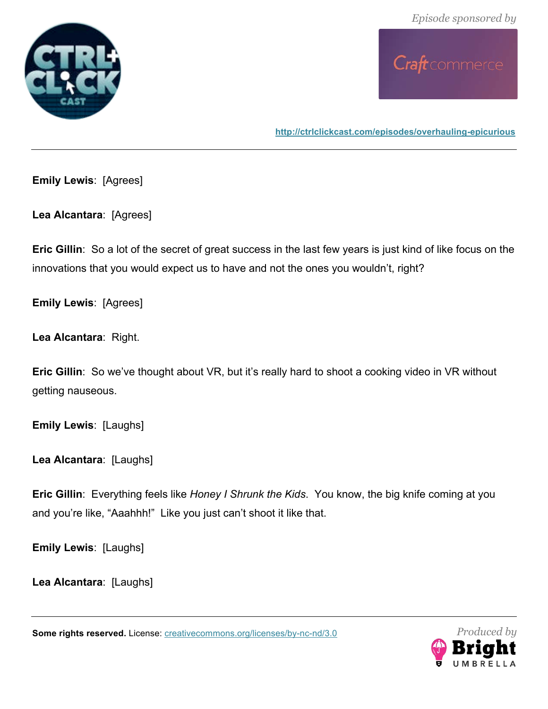



**http://ctrlclickcast.com/episodes/overhauling-epicurious**

**Emily Lewis**: [Agrees]

**Lea Alcantara**: [Agrees]

**Eric Gillin**: So a lot of the secret of great success in the last few years is just kind of like focus on the innovations that you would expect us to have and not the ones you wouldn't, right?

**Emily Lewis**: [Agrees]

**Lea Alcantara**: Right.

**Eric Gillin**: So we've thought about VR, but it's really hard to shoot a cooking video in VR without getting nauseous.

**Emily Lewis**: [Laughs]

**Lea Alcantara**: [Laughs]

**Eric Gillin**: Everything feels like *Honey I Shrunk the Kids*. You know, the big knife coming at you and you're like, "Aaahhh!" Like you just can't shoot it like that.

**Emily Lewis**: [Laughs]

**Lea Alcantara**: [Laughs]

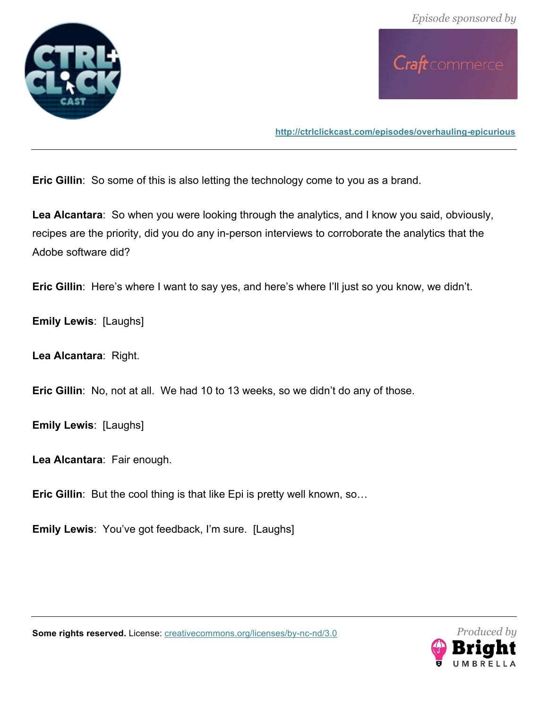



**Eric Gillin**: So some of this is also letting the technology come to you as a brand.

**Lea Alcantara**: So when you were looking through the analytics, and I know you said, obviously, recipes are the priority, did you do any in-person interviews to corroborate the analytics that the Adobe software did?

**Eric Gillin**: Here's where I want to say yes, and here's where I'll just so you know, we didn't.

**Emily Lewis**: [Laughs]

**Lea Alcantara**: Right.

**Eric Gillin**: No, not at all. We had 10 to 13 weeks, so we didn't do any of those.

**Emily Lewis**: [Laughs]

**Lea Alcantara**: Fair enough.

**Eric Gillin**: But the cool thing is that like Epi is pretty well known, so…

**Emily Lewis**: You've got feedback, I'm sure. [Laughs]



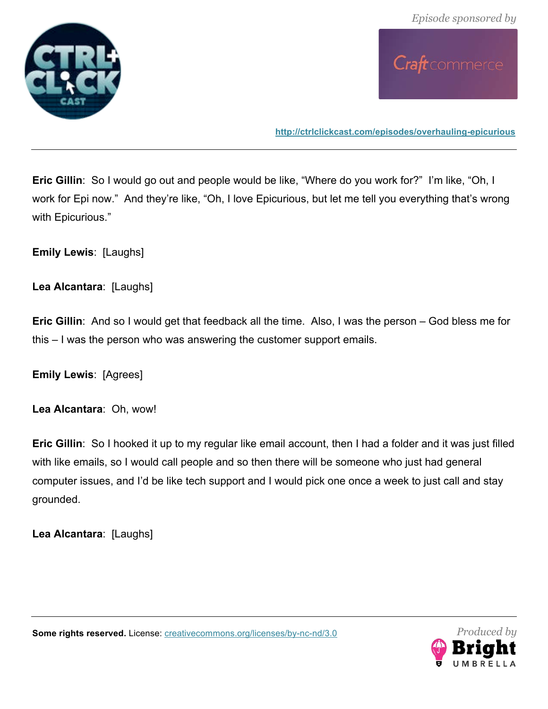





**Eric Gillin**: So I would go out and people would be like, "Where do you work for?" I'm like, "Oh, I work for Epi now." And they're like, "Oh, I love Epicurious, but let me tell you everything that's wrong with Epicurious."

**Emily Lewis**: [Laughs]

**Lea Alcantara**: [Laughs]

**Eric Gillin**: And so I would get that feedback all the time. Also, I was the person – God bless me for this – I was the person who was answering the customer support emails.

**Emily Lewis**: [Agrees]

**Lea Alcantara**: Oh, wow!

**Eric Gillin**: So I hooked it up to my regular like email account, then I had a folder and it was just filled with like emails, so I would call people and so then there will be someone who just had general computer issues, and I'd be like tech support and I would pick one once a week to just call and stay grounded.

**Lea Alcantara**: [Laughs]



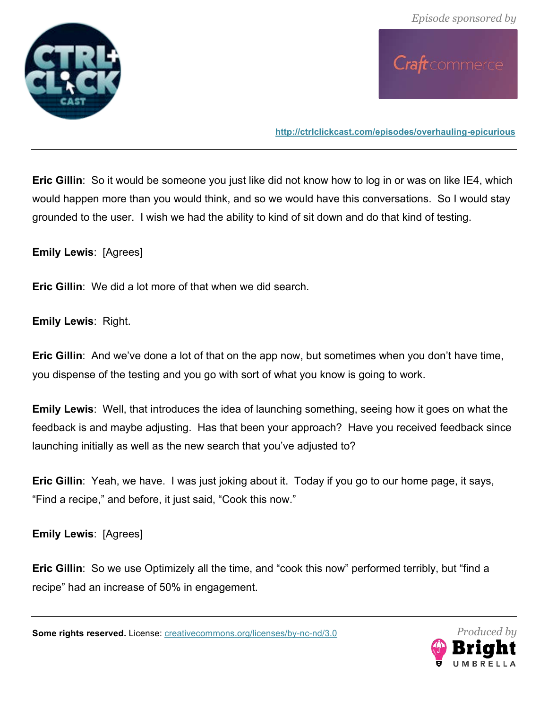



**Eric Gillin**: So it would be someone you just like did not know how to log in or was on like IE4, which would happen more than you would think, and so we would have this conversations. So I would stay grounded to the user. I wish we had the ability to kind of sit down and do that kind of testing.

**Emily Lewis**: [Agrees]

**Eric Gillin**: We did a lot more of that when we did search.

**Emily Lewis**: Right.

**Eric Gillin**: And we've done a lot of that on the app now, but sometimes when you don't have time, you dispense of the testing and you go with sort of what you know is going to work.

**Emily Lewis**: Well, that introduces the idea of launching something, seeing how it goes on what the feedback is and maybe adjusting. Has that been your approach? Have you received feedback since launching initially as well as the new search that you've adjusted to?

**Eric Gillin**: Yeah, we have. I was just joking about it. Today if you go to our home page, it says, "Find a recipe," and before, it just said, "Cook this now."

**Emily Lewis**: [Agrees]

**Eric Gillin**: So we use Optimizely all the time, and "cook this now" performed terribly, but "find a recipe" had an increase of 50% in engagement.

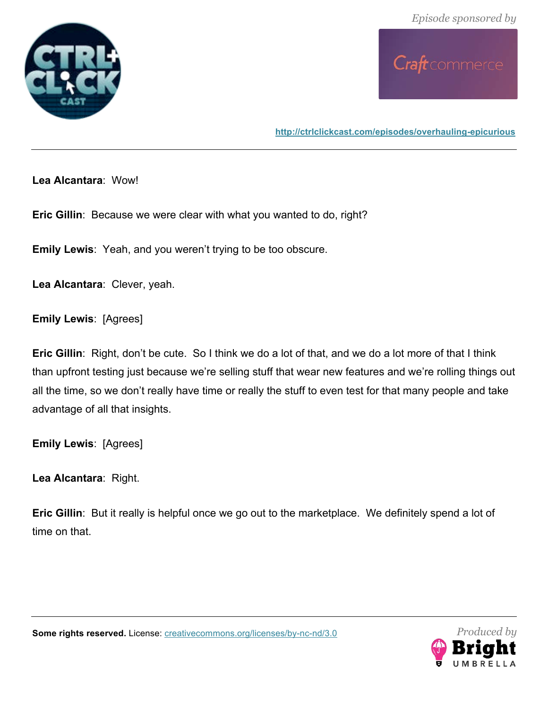



**http://ctrlclickcast.com/episodes/overhauling-epicurious**

**Lea Alcantara**: Wow!

**Eric Gillin**: Because we were clear with what you wanted to do, right?

**Emily Lewis**: Yeah, and you weren't trying to be too obscure.

**Lea Alcantara**: Clever, yeah.

**Emily Lewis**: [Agrees]

**Eric Gillin**: Right, don't be cute. So I think we do a lot of that, and we do a lot more of that I think than upfront testing just because we're selling stuff that wear new features and we're rolling things out all the time, so we don't really have time or really the stuff to even test for that many people and take advantage of all that insights.

**Emily Lewis**: [Agrees]

**Lea Alcantara**: Right.

**Eric Gillin**: But it really is helpful once we go out to the marketplace. We definitely spend a lot of time on that.



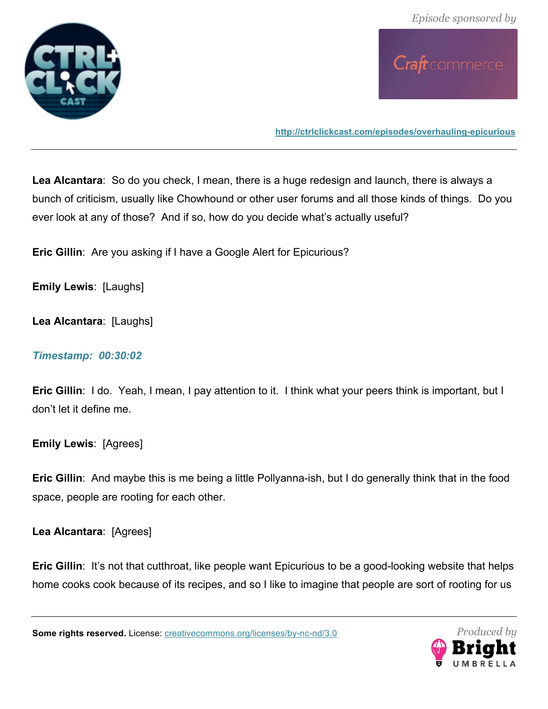





**Lea Alcantara**: So do you check, I mean, there is a huge redesign and launch, there is always a bunch of criticism, usually like Chowhound or other user forums and all those kinds of things. Do you ever look at any of those? And if so, how do you decide what's actually useful?

**Eric Gillin**: Are you asking if I have a Google Alert for Epicurious?

**Emily Lewis**: [Laughs]

**Lea Alcantara**: [Laughs]

#### *Timestamp: 00:30:02*

**Eric Gillin**: I do. Yeah, I mean, I pay attention to it. I think what your peers think is important, but I don't let it define me.

**Emily Lewis**: [Agrees]

**Eric Gillin**: And maybe this is me being a little Pollyanna-ish, but I do generally think that in the food space, people are rooting for each other.

**Lea Alcantara**: [Agrees]

**Eric Gillin:** It's not that cutthroat, like people want Epicurious to be a good-looking website that helps home cooks cook because of its recipes, and so I like to imagine that people are sort of rooting for us

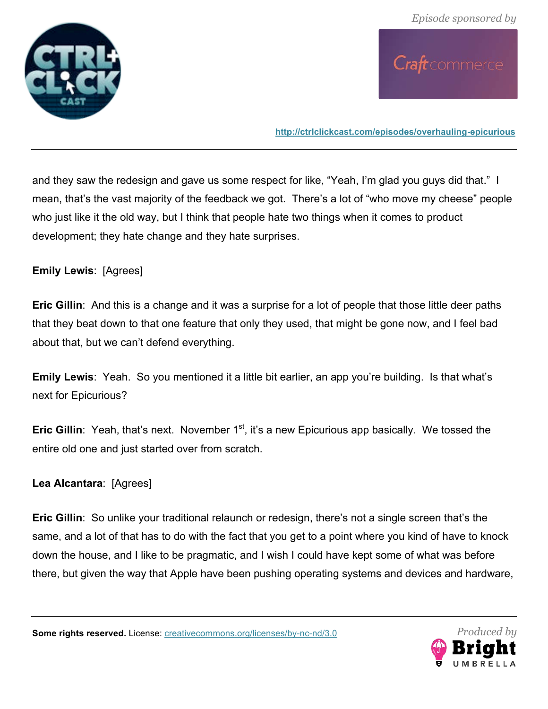



and they saw the redesign and gave us some respect for like, "Yeah, I'm glad you guys did that." I mean, that's the vast majority of the feedback we got. There's a lot of "who move my cheese" people who just like it the old way, but I think that people hate two things when it comes to product development; they hate change and they hate surprises.

### **Emily Lewis**: [Agrees]

**Eric Gillin**: And this is a change and it was a surprise for a lot of people that those little deer paths that they beat down to that one feature that only they used, that might be gone now, and I feel bad about that, but we can't defend everything.

**Emily Lewis**: Yeah. So you mentioned it a little bit earlier, an app you're building. Is that what's next for Epicurious?

**Eric Gillin**: Yeah, that's next. November 1<sup>st</sup>, it's a new Epicurious app basically. We tossed the entire old one and just started over from scratch.

### **Lea Alcantara**: [Agrees]

**Eric Gillin**: So unlike your traditional relaunch or redesign, there's not a single screen that's the same, and a lot of that has to do with the fact that you get to a point where you kind of have to knock down the house, and I like to be pragmatic, and I wish I could have kept some of what was before there, but given the way that Apple have been pushing operating systems and devices and hardware,

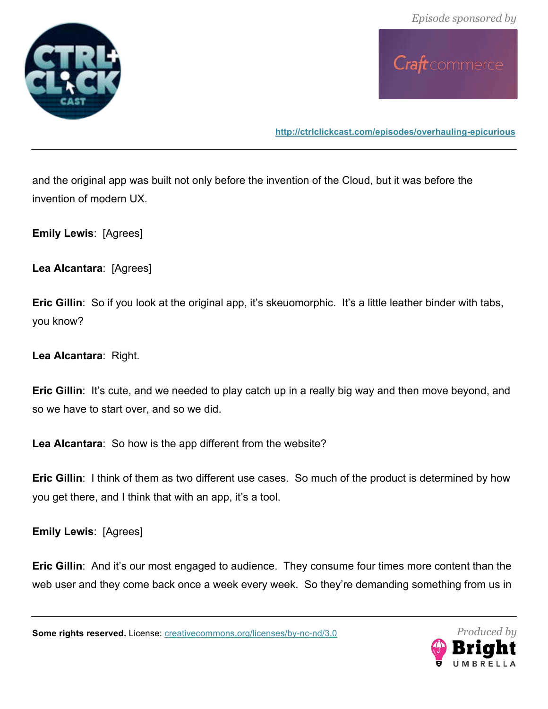

Craft commerce

**http://ctrlclickcast.com/episodes/overhauling-epicurious**

and the original app was built not only before the invention of the Cloud, but it was before the invention of modern UX.

**Emily Lewis**: [Agrees]

**Lea Alcantara**: [Agrees]

**Eric Gillin**: So if you look at the original app, it's skeuomorphic. It's a little leather binder with tabs, you know?

**Lea Alcantara**: Right.

**Eric Gillin:** It's cute, and we needed to play catch up in a really big way and then move beyond, and so we have to start over, and so we did.

**Lea Alcantara**: So how is the app different from the website?

**Eric Gillin**: I think of them as two different use cases. So much of the product is determined by how you get there, and I think that with an app, it's a tool.

**Emily Lewis**: [Agrees]

**Eric Gillin:** And it's our most engaged to audience. They consume four times more content than the web user and they come back once a week every week. So they're demanding something from us in

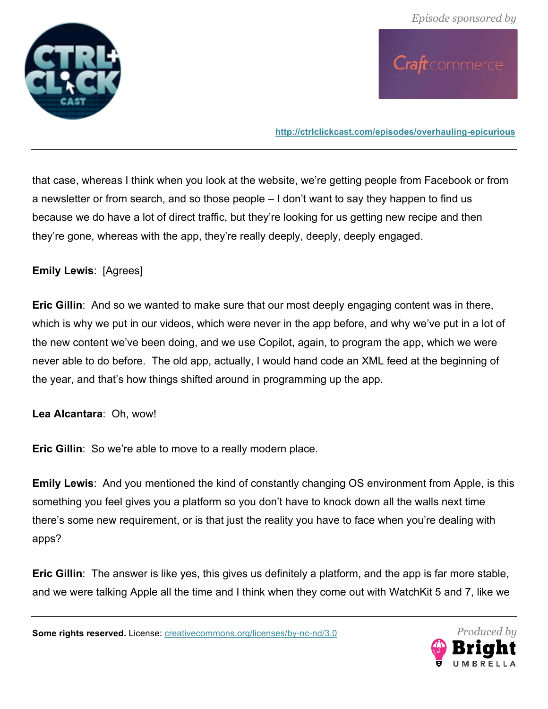



that case, whereas I think when you look at the website, we're getting people from Facebook or from a newsletter or from search, and so those people – I don't want to say they happen to find us because we do have a lot of direct traffic, but they're looking for us getting new recipe and then they're gone, whereas with the app, they're really deeply, deeply, deeply engaged.

### **Emily Lewis**: [Agrees]

**Eric Gillin**: And so we wanted to make sure that our most deeply engaging content was in there, which is why we put in our videos, which were never in the app before, and why we've put in a lot of the new content we've been doing, and we use Copilot, again, to program the app, which we were never able to do before. The old app, actually, I would hand code an XML feed at the beginning of the year, and that's how things shifted around in programming up the app.

**Lea Alcantara**: Oh, wow!

**Eric Gillin**: So we're able to move to a really modern place.

**Emily Lewis**: And you mentioned the kind of constantly changing OS environment from Apple, is this something you feel gives you a platform so you don't have to knock down all the walls next time there's some new requirement, or is that just the reality you have to face when you're dealing with apps?

**Eric Gillin**: The answer is like yes, this gives us definitely a platform, and the app is far more stable, and we were talking Apple all the time and I think when they come out with WatchKit 5 and 7, like we

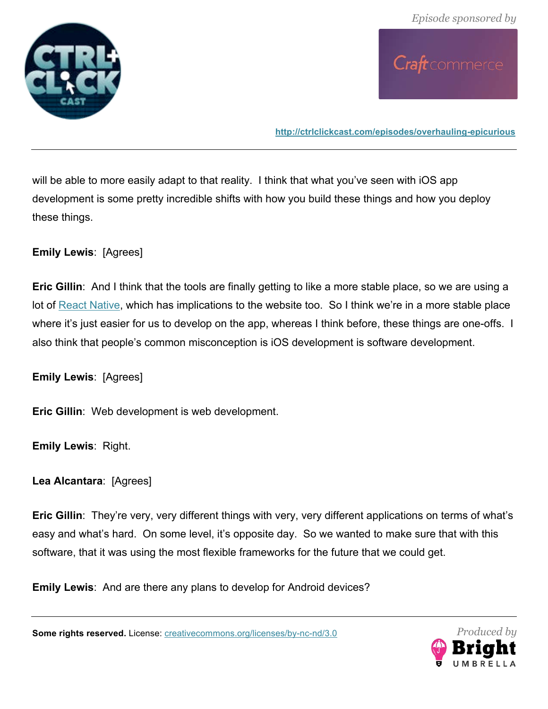



will be able to more easily adapt to that reality. I think that what you've seen with iOS app development is some pretty incredible shifts with how you build these things and how you deploy these things.

### **Emily Lewis**: [Agrees]

**Eric Gillin**: And I think that the tools are finally getting to like a more stable place, so we are using a lot of React Native, which has implications to the website too. So I think we're in a more stable place where it's just easier for us to develop on the app, whereas I think before, these things are one-offs. I also think that people's common misconception is iOS development is software development.

**Emily Lewis**: [Agrees]

**Eric Gillin**: Web development is web development.

**Emily Lewis**: Right.

**Lea Alcantara**: [Agrees]

**Eric Gillin**: They're very, very different things with very, very different applications on terms of what's easy and what's hard. On some level, it's opposite day. So we wanted to make sure that with this software, that it was using the most flexible frameworks for the future that we could get.

**Emily Lewis**: And are there any plans to develop for Android devices?

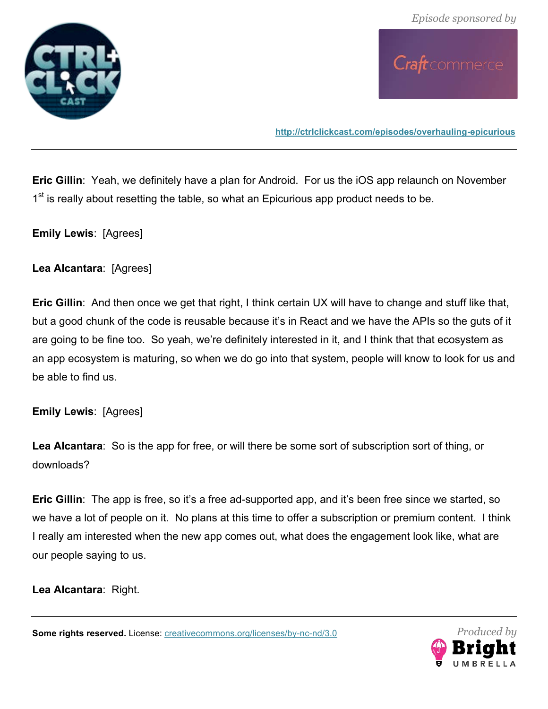



**Eric Gillin**: Yeah, we definitely have a plan for Android. For us the iOS app relaunch on November 1<sup>st</sup> is really about resetting the table, so what an Epicurious app product needs to be.

**Emily Lewis**: [Agrees]

**Lea Alcantara**: [Agrees]

**Eric Gillin**: And then once we get that right, I think certain UX will have to change and stuff like that, but a good chunk of the code is reusable because it's in React and we have the APIs so the guts of it are going to be fine too. So yeah, we're definitely interested in it, and I think that that ecosystem as an app ecosystem is maturing, so when we do go into that system, people will know to look for us and be able to find us.

**Emily Lewis**: [Agrees]

**Lea Alcantara**: So is the app for free, or will there be some sort of subscription sort of thing, or downloads?

**Eric Gillin**: The app is free, so it's a free ad-supported app, and it's been free since we started, so we have a lot of people on it. No plans at this time to offer a subscription or premium content. I think I really am interested when the new app comes out, what does the engagement look like, what are our people saying to us.

**Lea Alcantara**: Right.

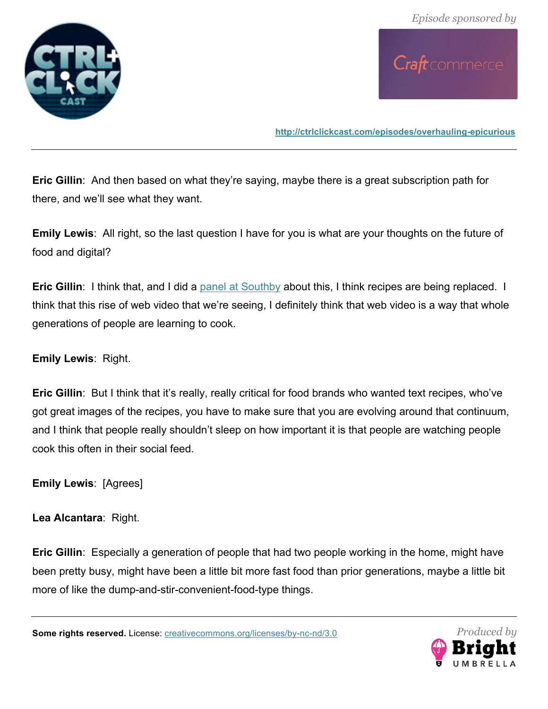



**Eric Gillin**: And then based on what they're saying, maybe there is a great subscription path for there, and we'll see what they want.

**Emily Lewis**: All right, so the last question I have for you is what are your thoughts on the future of food and digital?

**Eric Gillin**: I think that, and I did a panel at Southby about this, I think recipes are being replaced. I think that this rise of web video that we're seeing, I definitely think that web video is a way that whole generations of people are learning to cook.

**Emily Lewis**: Right.

**Eric Gillin**: But I think that it's really, really critical for food brands who wanted text recipes, who've got great images of the recipes, you have to make sure that you are evolving around that continuum, and I think that people really shouldn't sleep on how important it is that people are watching people cook this often in their social feed.

**Emily Lewis**: [Agrees]

**Lea Alcantara**: Right.

**Eric Gillin**: Especially a generation of people that had two people working in the home, might have been pretty busy, might have been a little bit more fast food than prior generations, maybe a little bit more of like the dump-and-stir-convenient-food-type things.

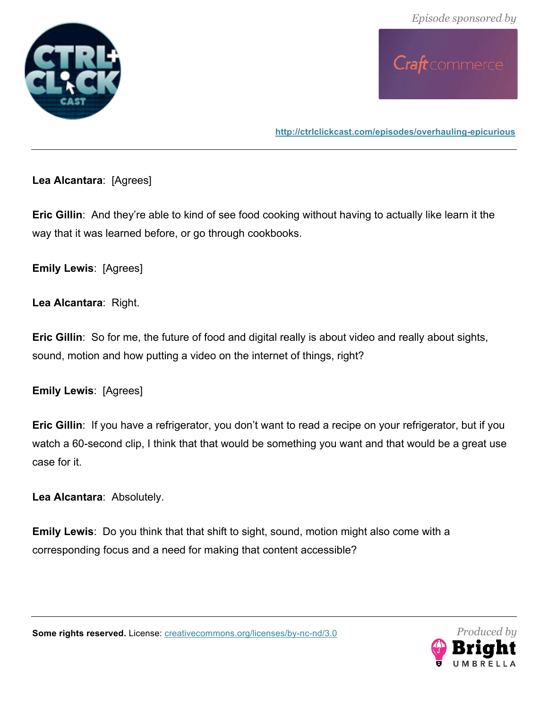



**http://ctrlclickcast.com/episodes/overhauling-epicurious**

**Lea Alcantara**: [Agrees]

**Eric Gillin**: And they're able to kind of see food cooking without having to actually like learn it the way that it was learned before, or go through cookbooks.

**Emily Lewis**: [Agrees]

**Lea Alcantara**: Right.

**Eric Gillin**: So for me, the future of food and digital really is about video and really about sights, sound, motion and how putting a video on the internet of things, right?

**Emily Lewis**: [Agrees]

**Eric Gillin**: If you have a refrigerator, you don't want to read a recipe on your refrigerator, but if you watch a 60-second clip, I think that that would be something you want and that would be a great use case for it.

**Lea Alcantara**: Absolutely.

**Emily Lewis**: Do you think that that shift to sight, sound, motion might also come with a corresponding focus and a need for making that content accessible?



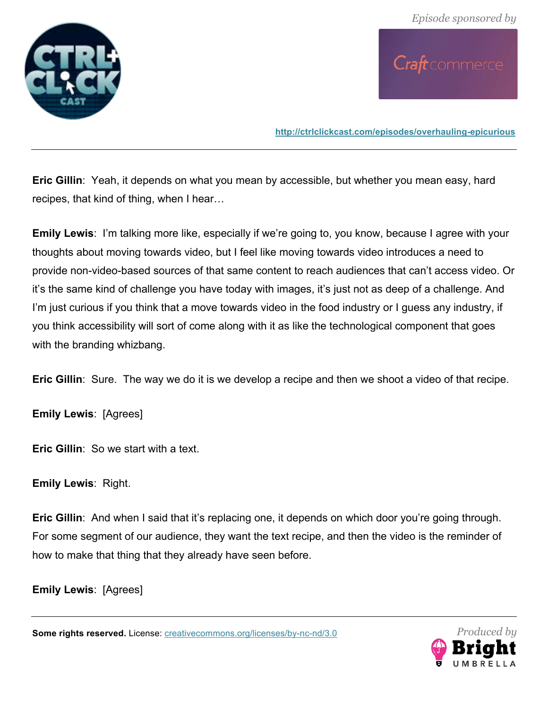



**Eric Gillin**: Yeah, it depends on what you mean by accessible, but whether you mean easy, hard recipes, that kind of thing, when I hear…

**Emily Lewis**: I'm talking more like, especially if we're going to, you know, because I agree with your thoughts about moving towards video, but I feel like moving towards video introduces a need to provide non-video-based sources of that same content to reach audiences that can't access video. Or it's the same kind of challenge you have today with images, it's just not as deep of a challenge. And I'm just curious if you think that a move towards video in the food industry or I guess any industry, if you think accessibility will sort of come along with it as like the technological component that goes with the branding whizbang.

**Eric Gillin**: Sure. The way we do it is we develop a recipe and then we shoot a video of that recipe.

**Emily Lewis**: [Agrees]

**Eric Gillin**: So we start with a text.

**Emily Lewis**: Right.

**Eric Gillin:** And when I said that it's replacing one, it depends on which door you're going through. For some segment of our audience, they want the text recipe, and then the video is the reminder of how to make that thing that they already have seen before.

**Emily Lewis**: [Agrees]

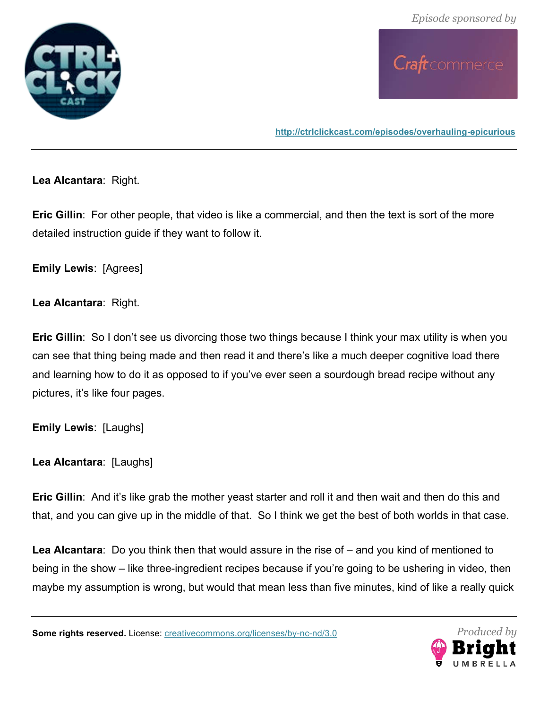



**http://ctrlclickcast.com/episodes/overhauling-epicurious**

**Lea Alcantara**: Right.

**Eric Gillin**: For other people, that video is like a commercial, and then the text is sort of the more detailed instruction guide if they want to follow it.

**Emily Lewis**: [Agrees]

**Lea Alcantara**: Right.

**Eric Gillin**: So I don't see us divorcing those two things because I think your max utility is when you can see that thing being made and then read it and there's like a much deeper cognitive load there and learning how to do it as opposed to if you've ever seen a sourdough bread recipe without any pictures, it's like four pages.

**Emily Lewis**: [Laughs]

**Lea Alcantara**: [Laughs]

**Eric Gillin**: And it's like grab the mother yeast starter and roll it and then wait and then do this and that, and you can give up in the middle of that. So I think we get the best of both worlds in that case.

**Lea Alcantara**: Do you think then that would assure in the rise of – and you kind of mentioned to being in the show – like three-ingredient recipes because if you're going to be ushering in video, then maybe my assumption is wrong, but would that mean less than five minutes, kind of like a really quick

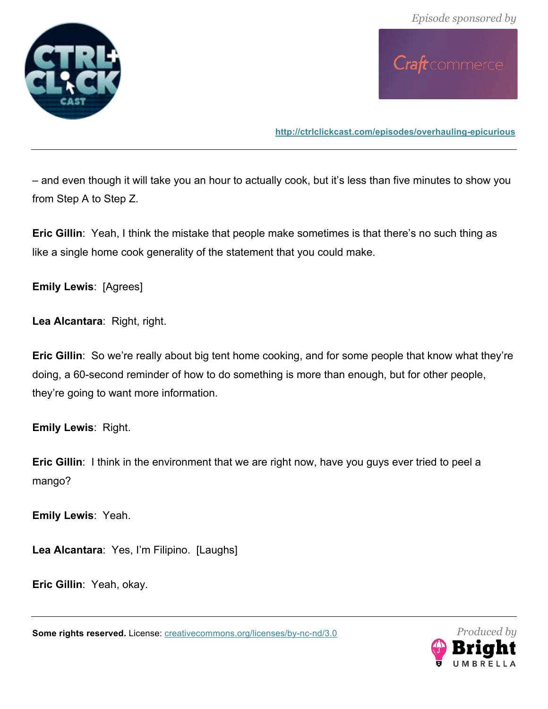



– and even though it will take you an hour to actually cook, but it's less than five minutes to show you from Step A to Step Z.

**Eric Gillin**: Yeah, I think the mistake that people make sometimes is that there's no such thing as like a single home cook generality of the statement that you could make.

**Emily Lewis**: [Agrees]

**Lea Alcantara**: Right, right.

**Eric Gillin**: So we're really about big tent home cooking, and for some people that know what they're doing, a 60-second reminder of how to do something is more than enough, but for other people, they're going to want more information.

**Emily Lewis**: Right.

**Eric Gillin**: I think in the environment that we are right now, have you guys ever tried to peel a mango?

**Emily Lewis**: Yeah.

**Lea Alcantara**: Yes, I'm Filipino. [Laughs]

**Eric Gillin**: Yeah, okay.

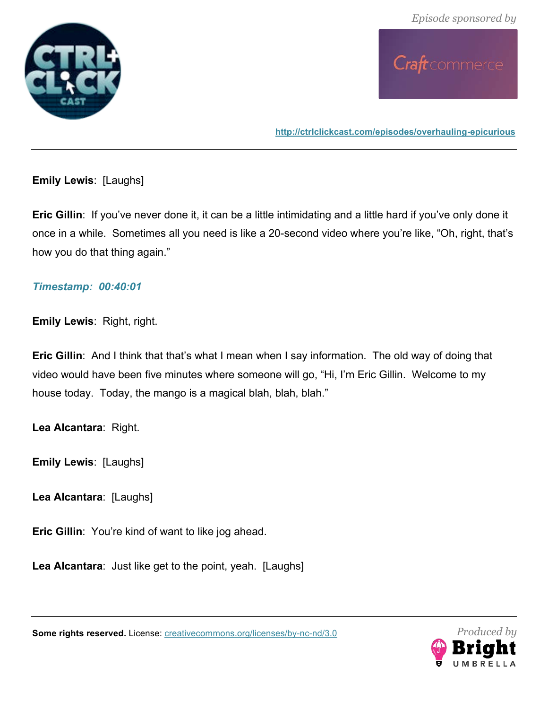

Craft commerce

**http://ctrlclickcast.com/episodes/overhauling-epicurious**

**Emily Lewis**: [Laughs]

**Eric Gillin**: If you've never done it, it can be a little intimidating and a little hard if you've only done it once in a while. Sometimes all you need is like a 20-second video where you're like, "Oh, right, that's how you do that thing again."

### *Timestamp: 00:40:01*

**Emily Lewis**: Right, right.

**Eric Gillin**: And I think that that's what I mean when I say information. The old way of doing that video would have been five minutes where someone will go, "Hi, I'm Eric Gillin. Welcome to my house today. Today, the mango is a magical blah, blah, blah."

**Lea Alcantara**: Right.

**Emily Lewis**: [Laughs]

**Lea Alcantara**: [Laughs]

**Eric Gillin**: You're kind of want to like jog ahead.

**Lea Alcantara**: Just like get to the point, yeah. [Laughs]



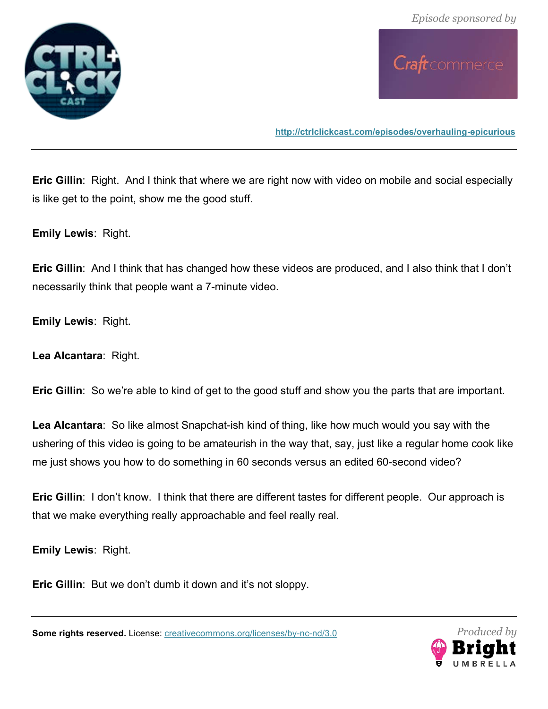

Craft commerce

**http://ctrlclickcast.com/episodes/overhauling-epicurious**

**Eric Gillin**: Right. And I think that where we are right now with video on mobile and social especially is like get to the point, show me the good stuff.

**Emily Lewis**: Right.

**Eric Gillin**: And I think that has changed how these videos are produced, and I also think that I don't necessarily think that people want a 7-minute video.

**Emily Lewis**: Right.

**Lea Alcantara**: Right.

**Eric Gillin**: So we're able to kind of get to the good stuff and show you the parts that are important.

**Lea Alcantara**: So like almost Snapchat-ish kind of thing, like how much would you say with the ushering of this video is going to be amateurish in the way that, say, just like a regular home cook like me just shows you how to do something in 60 seconds versus an edited 60-second video?

**Eric Gillin**: I don't know. I think that there are different tastes for different people. Our approach is that we make everything really approachable and feel really real.

**Emily Lewis**: Right.

**Eric Gillin**: But we don't dumb it down and it's not sloppy.

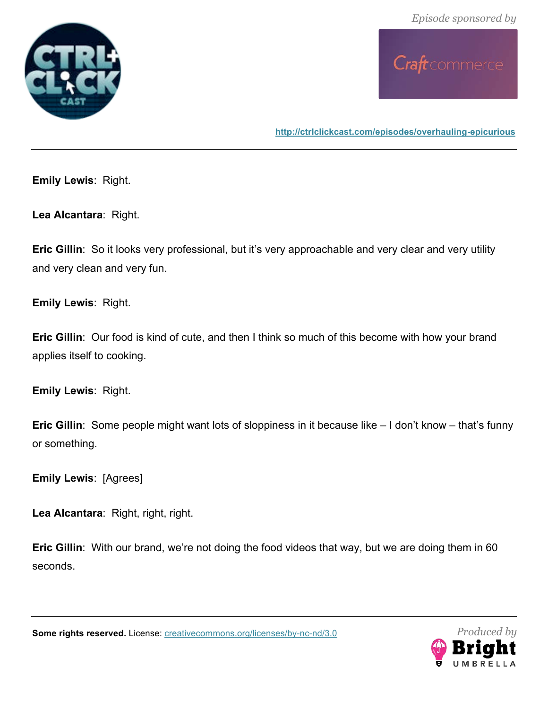



**Emily Lewis**: Right.

**Lea Alcantara**: Right.

**Eric Gillin**: So it looks very professional, but it's very approachable and very clear and very utility and very clean and very fun.

**Emily Lewis**: Right.

**Eric Gillin**: Our food is kind of cute, and then I think so much of this become with how your brand applies itself to cooking.

**Emily Lewis**: Right.

**Eric Gillin**: Some people might want lots of sloppiness in it because like – I don't know – that's funny or something.

**Emily Lewis**: [Agrees]

**Lea Alcantara**: Right, right, right.

**Eric Gillin**: With our brand, we're not doing the food videos that way, but we are doing them in 60 seconds.

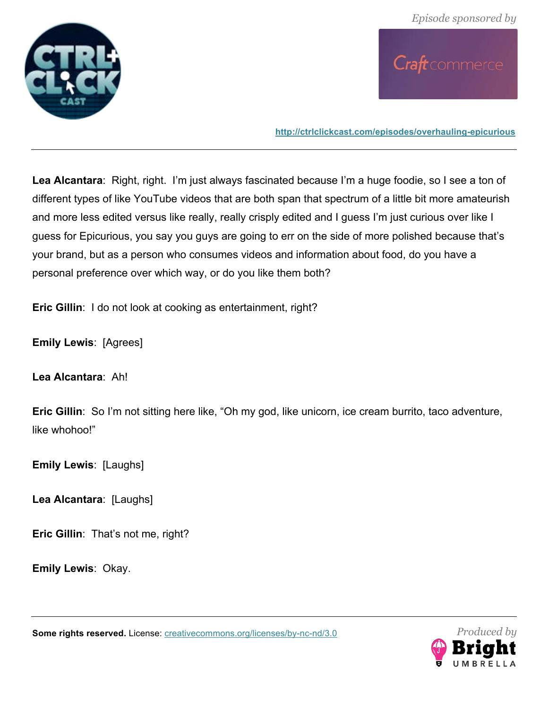



**Lea Alcantara**: Right, right. I'm just always fascinated because I'm a huge foodie, so I see a ton of different types of like YouTube videos that are both span that spectrum of a little bit more amateurish and more less edited versus like really, really crisply edited and I guess I'm just curious over like I guess for Epicurious, you say you guys are going to err on the side of more polished because that's your brand, but as a person who consumes videos and information about food, do you have a personal preference over which way, or do you like them both?

**Eric Gillin**: I do not look at cooking as entertainment, right?

**Emily Lewis**: [Agrees]

**Lea Alcantara**: Ah!

**Eric Gillin**: So I'm not sitting here like, "Oh my god, like unicorn, ice cream burrito, taco adventure, like whohoo!"

**Emily Lewis**: [Laughs]

**Lea Alcantara**: [Laughs]

**Eric Gillin**: That's not me, right?

**Emily Lewis**: Okay.

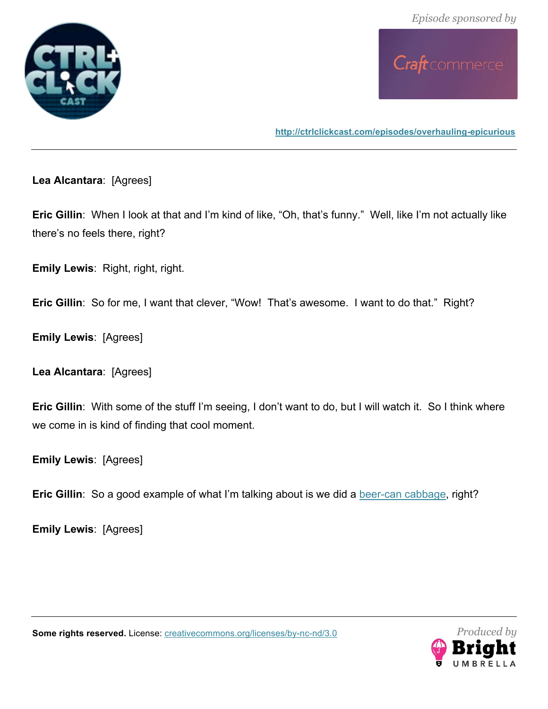



**Lea Alcantara**: [Agrees]

**Eric Gillin**: When I look at that and I'm kind of like, "Oh, that's funny." Well, like I'm not actually like there's no feels there, right?

**Emily Lewis**: Right, right, right.

**Eric Gillin**: So for me, I want that clever, "Wow! That's awesome. I want to do that." Right?

**Emily Lewis**: [Agrees]

**Lea Alcantara**: [Agrees]

**Eric Gillin:** With some of the stuff I'm seeing, I don't want to do, but I will watch it. So I think where we come in is kind of finding that cool moment.

**Emily Lewis**: [Agrees]

**Eric Gillin**: So a good example of what I'm talking about is we did a beer-can cabbage, right?

**Emily Lewis**: [Agrees]



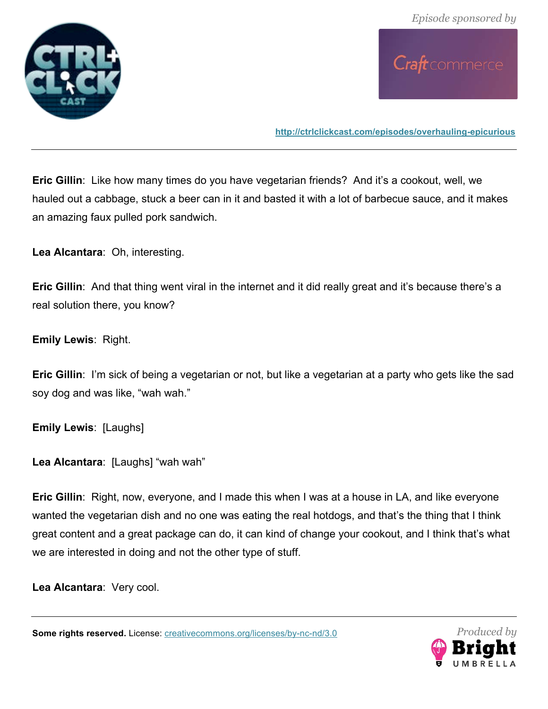



**Eric Gillin**: Like how many times do you have vegetarian friends? And it's a cookout, well, we hauled out a cabbage, stuck a beer can in it and basted it with a lot of barbecue sauce, and it makes an amazing faux pulled pork sandwich.

**Lea Alcantara**: Oh, interesting.

**Eric Gillin**: And that thing went viral in the internet and it did really great and it's because there's a real solution there, you know?

**Emily Lewis**: Right.

**Eric Gillin**: I'm sick of being a vegetarian or not, but like a vegetarian at a party who gets like the sad soy dog and was like, "wah wah."

**Emily Lewis**: [Laughs]

**Lea Alcantara**: [Laughs] "wah wah"

**Eric Gillin**: Right, now, everyone, and I made this when I was at a house in LA, and like everyone wanted the vegetarian dish and no one was eating the real hotdogs, and that's the thing that I think great content and a great package can do, it can kind of change your cookout, and I think that's what we are interested in doing and not the other type of stuff.

**Lea Alcantara**: Very cool.

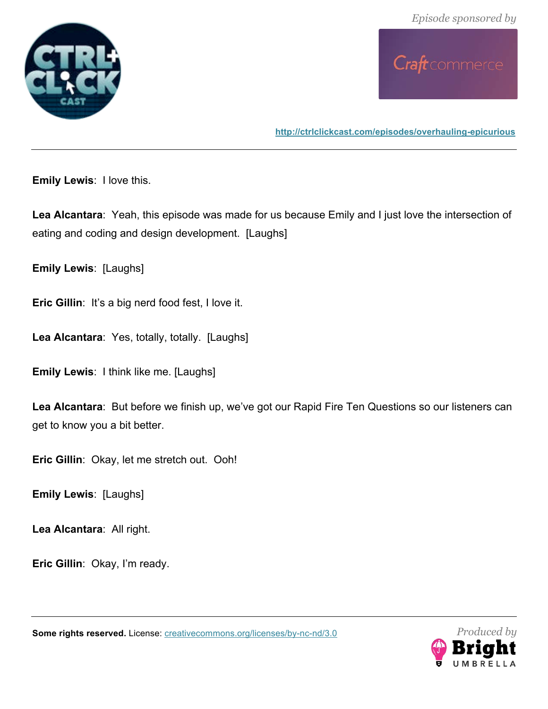



**http://ctrlclickcast.com/episodes/overhauling-epicurious**

**Emily Lewis**: I love this.

**Lea Alcantara**: Yeah, this episode was made for us because Emily and I just love the intersection of eating and coding and design development. [Laughs]

**Emily Lewis**: [Laughs]

**Eric Gillin**: It's a big nerd food fest, I love it.

**Lea Alcantara**: Yes, totally, totally. [Laughs]

**Emily Lewis**: I think like me. [Laughs]

**Lea Alcantara**: But before we finish up, we've got our Rapid Fire Ten Questions so our listeners can get to know you a bit better.

**Eric Gillin**: Okay, let me stretch out. Ooh!

**Emily Lewis**: [Laughs]

**Lea Alcantara**: All right.

**Eric Gillin**: Okay, I'm ready.

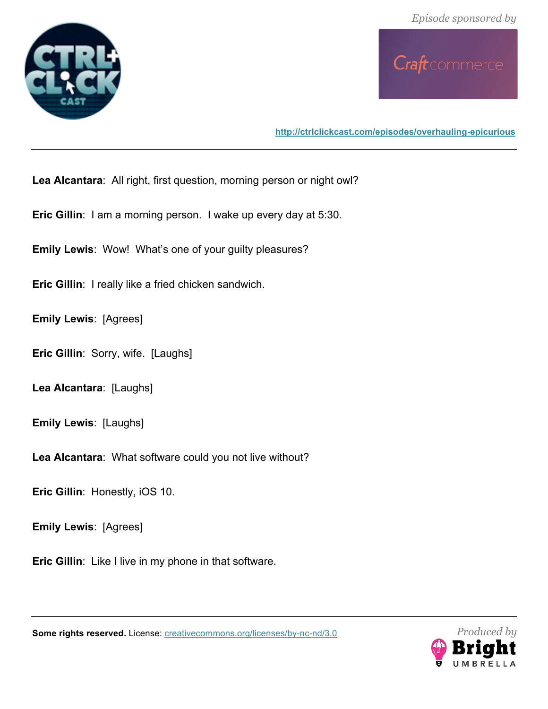



**http://ctrlclickcast.com/episodes/overhauling-epicurious**

**Lea Alcantara**: All right, first question, morning person or night owl?

**Eric Gillin**: I am a morning person. I wake up every day at 5:30.

**Emily Lewis**: Wow! What's one of your guilty pleasures?

**Eric Gillin**: I really like a fried chicken sandwich.

**Emily Lewis**: [Agrees]

**Eric Gillin**: Sorry, wife. [Laughs]

**Lea Alcantara**: [Laughs]

**Emily Lewis**: [Laughs]

**Lea Alcantara**: What software could you not live without?

**Eric Gillin**: Honestly, iOS 10.

**Emily Lewis**: [Agrees]

**Eric Gillin**: Like I live in my phone in that software.



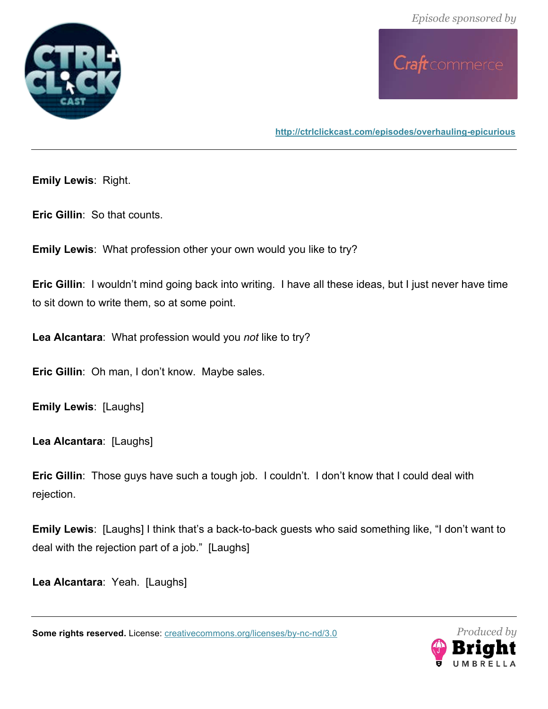



**Emily Lewis**: Right.

**Eric Gillin**: So that counts.

**Emily Lewis**: What profession other your own would you like to try?

**Eric Gillin:** I wouldn't mind going back into writing. I have all these ideas, but I just never have time to sit down to write them, so at some point.

**Lea Alcantara**: What profession would you *not* like to try?

**Eric Gillin**: Oh man, I don't know. Maybe sales.

**Emily Lewis**: [Laughs]

**Lea Alcantara**: [Laughs]

**Eric Gillin**: Those guys have such a tough job. I couldn't. I don't know that I could deal with rejection.

**Emily Lewis**: [Laughs] I think that's a back-to-back guests who said something like, "I don't want to deal with the rejection part of a job." [Laughs]

**Lea Alcantara**: Yeah. [Laughs]

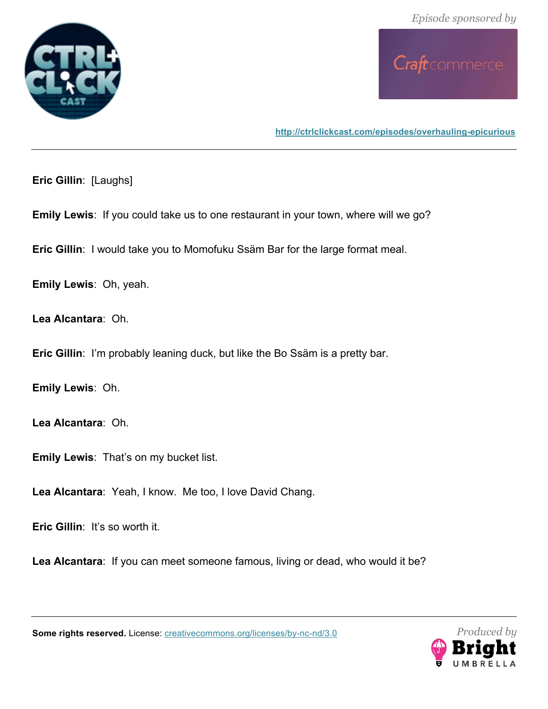



**http://ctrlclickcast.com/episodes/overhauling-epicurious**

**Eric Gillin**: [Laughs]

**Emily Lewis**: If you could take us to one restaurant in your town, where will we go?

**Eric Gillin**: I would take you to Momofuku Ssäm Bar for the large format meal.

**Emily Lewis**: Oh, yeah.

**Lea Alcantara**: Oh.

**Eric Gillin**: I'm probably leaning duck, but like the Bo Ssäm is a pretty bar.

**Emily Lewis**: Oh.

**Lea Alcantara**: Oh.

**Emily Lewis**: That's on my bucket list.

**Lea Alcantara**: Yeah, I know. Me too, I love David Chang.

**Eric Gillin**: It's so worth it.

**Lea Alcantara**: If you can meet someone famous, living or dead, who would it be?

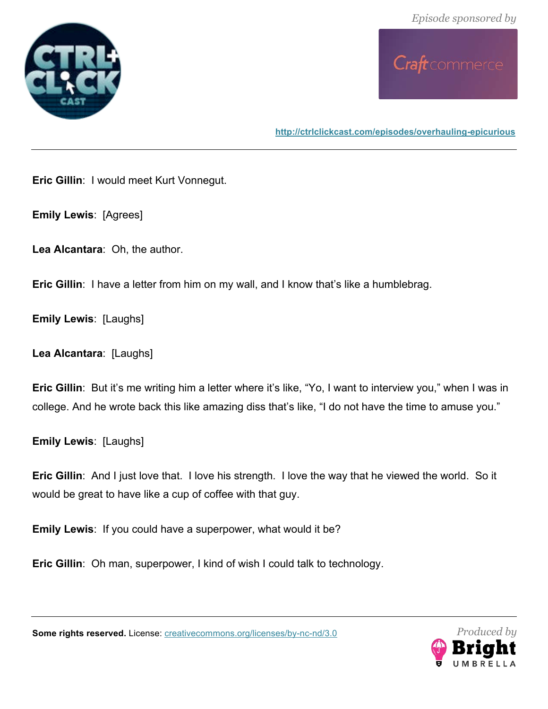



**Eric Gillin**: I would meet Kurt Vonnegut.

**Emily Lewis**: [Agrees]

**Lea Alcantara**: Oh, the author.

**Eric Gillin**: I have a letter from him on my wall, and I know that's like a humblebrag.

**Emily Lewis**: [Laughs]

**Lea Alcantara**: [Laughs]

**Eric Gillin**: But it's me writing him a letter where it's like, "Yo, I want to interview you," when I was in college. And he wrote back this like amazing diss that's like, "I do not have the time to amuse you."

**Emily Lewis**: [Laughs]

**Eric Gillin**: And I just love that. I love his strength. I love the way that he viewed the world. So it would be great to have like a cup of coffee with that guy.

**Emily Lewis**: If you could have a superpower, what would it be?

**Eric Gillin**: Oh man, superpower, I kind of wish I could talk to technology.

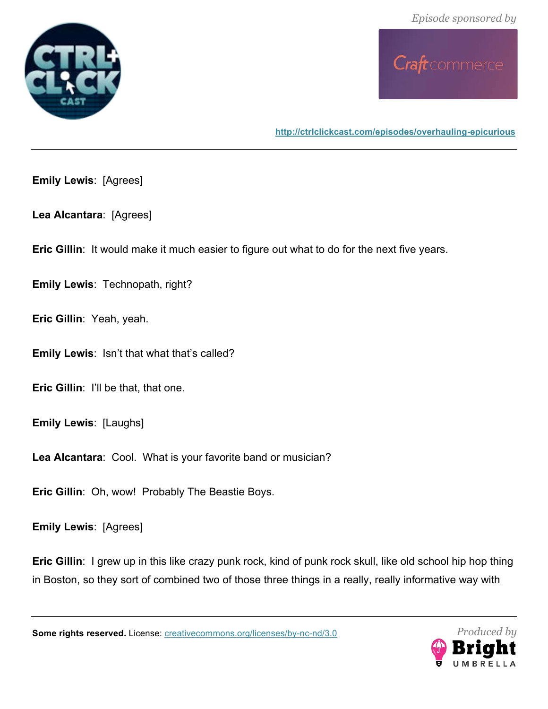



**http://ctrlclickcast.com/episodes/overhauling-epicurious**

**Emily Lewis**: [Agrees]

**Lea Alcantara**: [Agrees]

**Eric Gillin**: It would make it much easier to figure out what to do for the next five years.

**Emily Lewis**: Technopath, right?

**Eric Gillin**: Yeah, yeah.

**Emily Lewis**: Isn't that what that's called?

**Eric Gillin**: I'll be that, that one.

**Emily Lewis**: [Laughs]

**Lea Alcantara**: Cool. What is your favorite band or musician?

**Eric Gillin**: Oh, wow! Probably The Beastie Boys.

**Emily Lewis**: [Agrees]

**Eric Gillin**: I grew up in this like crazy punk rock, kind of punk rock skull, like old school hip hop thing in Boston, so they sort of combined two of those three things in a really, really informative way with

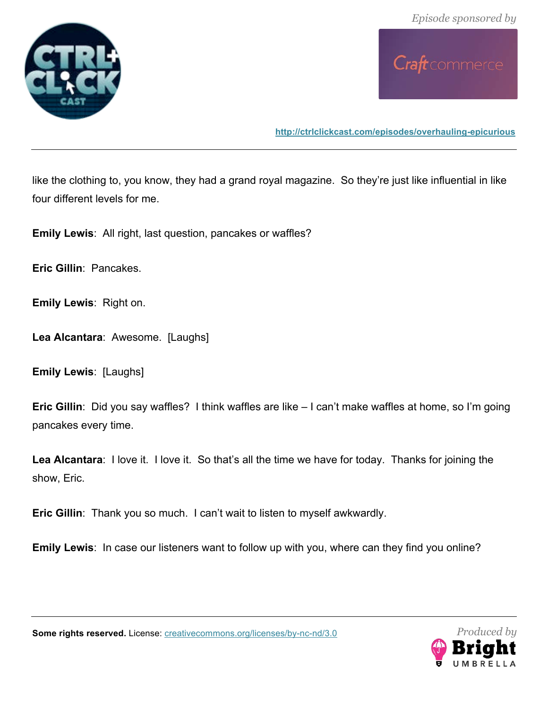



**http://ctrlclickcast.com/episodes/overhauling-epicurious**

like the clothing to, you know, they had a grand royal magazine. So they're just like influential in like four different levels for me.

**Emily Lewis**: All right, last question, pancakes or waffles?

**Eric Gillin**: Pancakes.

**Emily Lewis**: Right on.

**Lea Alcantara**: Awesome. [Laughs]

**Emily Lewis**: [Laughs]

**Eric Gillin**: Did you say waffles? I think waffles are like – I can't make waffles at home, so I'm going pancakes every time.

**Lea Alcantara**: I love it. I love it. So that's all the time we have for today. Thanks for joining the show, Eric.

**Eric Gillin**: Thank you so much. I can't wait to listen to myself awkwardly.

**Emily Lewis**: In case our listeners want to follow up with you, where can they find you online?

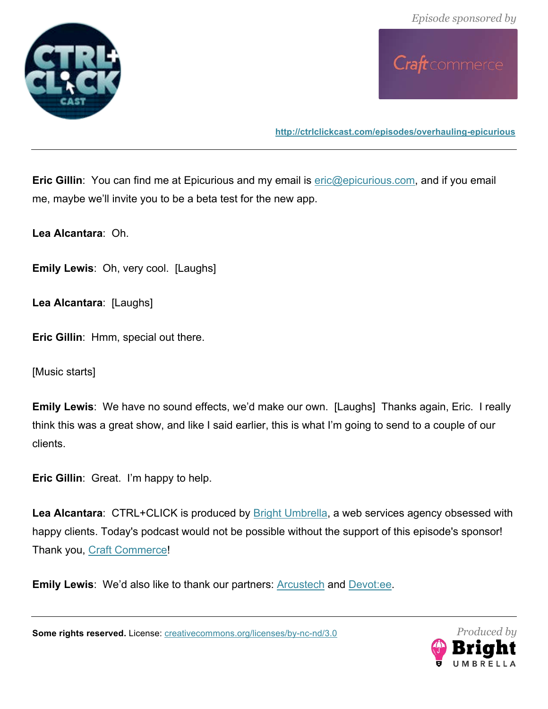



**http://ctrlclickcast.com/episodes/overhauling-epicurious**

**Eric Gillin**: You can find me at Epicurious and my email is **eric@epicurious.com**, and if you email me, maybe we'll invite you to be a beta test for the new app.

**Lea Alcantara**: Oh.

**Emily Lewis**: Oh, very cool. [Laughs]

**Lea Alcantara**: [Laughs]

**Eric Gillin**: Hmm, special out there.

[Music starts]

**Emily Lewis**: We have no sound effects, we'd make our own. [Laughs] Thanks again, Eric. I really think this was a great show, and like I said earlier, this is what I'm going to send to a couple of our clients.

**Eric Gillin**: Great. I'm happy to help.

Lea Alcantara: CTRL+CLICK is produced by **Bright Umbrella**, a web services agency obsessed with happy clients. Today's podcast would not be possible without the support of this episode's sponsor! Thank you, Craft Commerce!

**Emily Lewis**: We'd also like to thank our partners: Arcustech and Devot:ee.